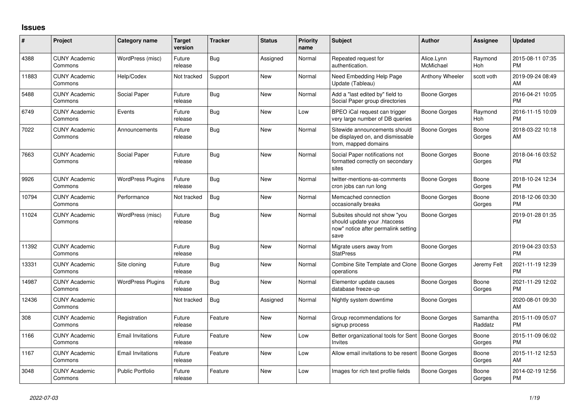## **Issues**

| #     | Project                         | <b>Category name</b>     | <b>Target</b><br>version | <b>Tracker</b> | <b>Status</b> | <b>Priority</b><br>name | <b>Subject</b>                                                                                               | <b>Author</b>           | Assignee            | <b>Updated</b>                |
|-------|---------------------------------|--------------------------|--------------------------|----------------|---------------|-------------------------|--------------------------------------------------------------------------------------------------------------|-------------------------|---------------------|-------------------------------|
| 4388  | <b>CUNY Academic</b><br>Commons | WordPress (misc)         | Future<br>release        | Bug            | Assigned      | Normal                  | Repeated request for<br>authentication.                                                                      | Alice.Lynn<br>McMichael | Raymond<br>Hoh      | 2015-08-11 07:35<br><b>PM</b> |
| 11883 | <b>CUNY Academic</b><br>Commons | Help/Codex               | Not tracked              | Support        | New           | Normal                  | Need Embedding Help Page<br>Update (Tableau)                                                                 | Anthony Wheeler         | scott voth          | 2019-09-24 08:49<br>AM        |
| 5488  | <b>CUNY Academic</b><br>Commons | Social Paper             | Future<br>release        | <b>Bug</b>     | <b>New</b>    | Normal                  | Add a "last edited by" field to<br>Social Paper group directories                                            | Boone Gorges            |                     | 2016-04-21 10:05<br><b>PM</b> |
| 6749  | <b>CUNY Academic</b><br>Commons | Events                   | Future<br>release        | Bug            | New           | Low                     | BPEO iCal request can trigger<br>very large number of DB queries                                             | Boone Gorges            | Raymond<br>Hoh      | 2016-11-15 10:09<br><b>PM</b> |
| 7022  | <b>CUNY Academic</b><br>Commons | Announcements            | Future<br>release        | Bug            | <b>New</b>    | Normal                  | Sitewide announcements should<br>be displayed on, and dismissable<br>from, mapped domains                    | Boone Gorges            | Boone<br>Gorges     | 2018-03-22 10:18<br>AM        |
| 7663  | <b>CUNY Academic</b><br>Commons | Social Paper             | Future<br>release        | <b>Bug</b>     | <b>New</b>    | Normal                  | Social Paper notifications not<br>formatted correctly on secondary<br>sites                                  | Boone Gorges            | Boone<br>Gorges     | 2018-04-16 03:52<br><b>PM</b> |
| 9926  | <b>CUNY Academic</b><br>Commons | <b>WordPress Plugins</b> | Future<br>release        | Bug            | New           | Normal                  | twitter-mentions-as-comments<br>cron jobs can run long                                                       | Boone Gorges            | Boone<br>Gorges     | 2018-10-24 12:34<br><b>PM</b> |
| 10794 | <b>CUNY Academic</b><br>Commons | Performance              | Not tracked              | Bug            | <b>New</b>    | Normal                  | Memcached connection<br>occasionally breaks                                                                  | Boone Gorges            | Boone<br>Gorges     | 2018-12-06 03:30<br><b>PM</b> |
| 11024 | <b>CUNY Academic</b><br>Commons | WordPress (misc)         | Future<br>release        | Bug            | <b>New</b>    | Normal                  | Subsites should not show "you<br>should update your .htaccess<br>now" notice after permalink setting<br>save | Boone Gorges            |                     | 2019-01-28 01:35<br><b>PM</b> |
| 11392 | <b>CUNY Academic</b><br>Commons |                          | Future<br>release        | Bug            | <b>New</b>    | Normal                  | Migrate users away from<br><b>StatPress</b>                                                                  | Boone Gorges            |                     | 2019-04-23 03:53<br><b>PM</b> |
| 13331 | <b>CUNY Academic</b><br>Commons | Site cloning             | Future<br>release        | Bug            | New           | Normal                  | Combine Site Template and Clone<br>operations                                                                | Boone Gorges            | Jeremy Felt         | 2021-11-19 12:39<br><b>PM</b> |
| 14987 | <b>CUNY Academic</b><br>Commons | <b>WordPress Plugins</b> | Future<br>release        | Bug            | <b>New</b>    | Normal                  | Elementor update causes<br>database freeze-up                                                                | Boone Gorges            | Boone<br>Gorges     | 2021-11-29 12:02<br><b>PM</b> |
| 12436 | <b>CUNY Academic</b><br>Commons |                          | Not tracked              | Bug            | Assigned      | Normal                  | Nightly system downtime                                                                                      | Boone Gorges            |                     | 2020-08-01 09:30<br>AM        |
| 308   | <b>CUNY Academic</b><br>Commons | Registration             | Future<br>release        | Feature        | New           | Normal                  | Group recommendations for<br>signup process                                                                  | Boone Gorges            | Samantha<br>Raddatz | 2015-11-09 05:07<br><b>PM</b> |
| 1166  | <b>CUNY Academic</b><br>Commons | <b>Email Invitations</b> | Future<br>release        | Feature        | <b>New</b>    | Low                     | Better organizational tools for Sent<br><b>Invites</b>                                                       | Boone Gorges            | Boone<br>Gorges     | 2015-11-09 06:02<br><b>PM</b> |
| 1167  | <b>CUNY Academic</b><br>Commons | <b>Email Invitations</b> | Future<br>release        | Feature        | New           | Low                     | Allow email invitations to be resent                                                                         | Boone Gorges            | Boone<br>Gorges     | 2015-11-12 12:53<br>AM        |
| 3048  | <b>CUNY Academic</b><br>Commons | <b>Public Portfolio</b>  | Future<br>release        | Feature        | <b>New</b>    | Low                     | Images for rich text profile fields                                                                          | Boone Gorges            | Boone<br>Gorges     | 2014-02-19 12:56<br><b>PM</b> |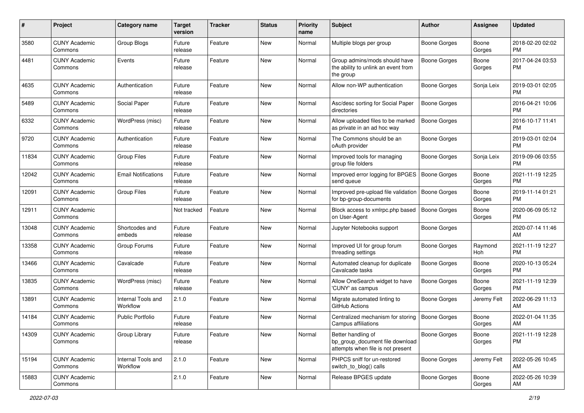| #     | Project                         | <b>Category name</b>           | <b>Target</b><br>version | <b>Tracker</b> | <b>Status</b> | Priority<br>name | Subject                                                                                    | Author              | <b>Assignee</b> | <b>Updated</b>                |
|-------|---------------------------------|--------------------------------|--------------------------|----------------|---------------|------------------|--------------------------------------------------------------------------------------------|---------------------|-----------------|-------------------------------|
| 3580  | <b>CUNY Academic</b><br>Commons | Group Blogs                    | Future<br>release        | Feature        | New           | Normal           | Multiple blogs per group                                                                   | <b>Boone Gorges</b> | Boone<br>Gorges | 2018-02-20 02:02<br><b>PM</b> |
| 4481  | <b>CUNY Academic</b><br>Commons | Events                         | Future<br>release        | Feature        | New           | Normal           | Group admins/mods should have<br>the ability to unlink an event from<br>the group          | <b>Boone Gorges</b> | Boone<br>Gorges | 2017-04-24 03:53<br><b>PM</b> |
| 4635  | <b>CUNY Academic</b><br>Commons | Authentication                 | Future<br>release        | Feature        | New           | Normal           | Allow non-WP authentication                                                                | Boone Gorges        | Sonja Leix      | 2019-03-01 02:05<br><b>PM</b> |
| 5489  | <b>CUNY Academic</b><br>Commons | Social Paper                   | Future<br>release        | Feature        | New           | Normal           | Asc/desc sorting for Social Paper<br>directories                                           | <b>Boone Gorges</b> |                 | 2016-04-21 10:06<br><b>PM</b> |
| 6332  | <b>CUNY Academic</b><br>Commons | WordPress (misc)               | Future<br>release        | Feature        | <b>New</b>    | Normal           | Allow uploaded files to be marked<br>as private in an ad hoc way                           | Boone Gorges        |                 | 2016-10-17 11:41<br><b>PM</b> |
| 9720  | <b>CUNY Academic</b><br>Commons | Authentication                 | Future<br>release        | Feature        | <b>New</b>    | Normal           | The Commons should be an<br>oAuth provider                                                 | <b>Boone Gorges</b> |                 | 2019-03-01 02:04<br><b>PM</b> |
| 11834 | <b>CUNY Academic</b><br>Commons | <b>Group Files</b>             | Future<br>release        | Feature        | New           | Normal           | Improved tools for managing<br>group file folders                                          | <b>Boone Gorges</b> | Sonja Leix      | 2019-09-06 03:55<br><b>PM</b> |
| 12042 | <b>CUNY Academic</b><br>Commons | <b>Email Notifications</b>     | Future<br>release        | Feature        | New           | Normal           | Improved error logging for BPGES<br>send queue                                             | <b>Boone Gorges</b> | Boone<br>Gorges | 2021-11-19 12:25<br><b>PM</b> |
| 12091 | <b>CUNY Academic</b><br>Commons | <b>Group Files</b>             | Future<br>release        | Feature        | <b>New</b>    | Normal           | Improved pre-upload file validation<br>for bp-group-documents                              | Boone Gorges        | Boone<br>Gorges | 2019-11-14 01:21<br><b>PM</b> |
| 12911 | <b>CUNY Academic</b><br>Commons |                                | Not tracked              | Feature        | New           | Normal           | Block access to xmlrpc.php based<br>on User-Agent                                          | <b>Boone Gorges</b> | Boone<br>Gorges | 2020-06-09 05:12<br><b>PM</b> |
| 13048 | <b>CUNY Academic</b><br>Commons | Shortcodes and<br>embeds       | Future<br>release        | Feature        | New           | Normal           | Jupyter Notebooks support                                                                  | Boone Gorges        |                 | 2020-07-14 11:46<br>AM        |
| 13358 | <b>CUNY Academic</b><br>Commons | Group Forums                   | Future<br>release        | Feature        | <b>New</b>    | Normal           | Improved UI for group forum<br>threading settings                                          | Boone Gorges        | Raymond<br>Hoh  | 2021-11-19 12:27<br><b>PM</b> |
| 13466 | <b>CUNY Academic</b><br>Commons | Cavalcade                      | Future<br>release        | Feature        | <b>New</b>    | Normal           | Automated cleanup for duplicate<br>Cavalcade tasks                                         | Boone Gorges        | Boone<br>Gorges | 2020-10-13 05:24<br><b>PM</b> |
| 13835 | <b>CUNY Academic</b><br>Commons | WordPress (misc)               | Future<br>release        | Feature        | New           | Normal           | Allow OneSearch widget to have<br>'CUNY' as campus                                         | <b>Boone Gorges</b> | Boone<br>Gorges | 2021-11-19 12:39<br><b>PM</b> |
| 13891 | <b>CUNY Academic</b><br>Commons | Internal Tools and<br>Workflow | 2.1.0                    | Feature        | New           | Normal           | Migrate automated linting to<br>GitHub Actions                                             | <b>Boone Gorges</b> | Jeremy Felt     | 2022-06-29 11:13<br>AM        |
| 14184 | <b>CUNY Academic</b><br>Commons | Public Portfolio               | Future<br>release        | Feature        | New           | Normal           | Centralized mechanism for storing<br>Campus affiliations                                   | <b>Boone Gorges</b> | Boone<br>Gorges | 2022-01-04 11:35<br>AM        |
| 14309 | <b>CUNY Academic</b><br>Commons | Group Library                  | Future<br>release        | Feature        | New           | Normal           | Better handling of<br>bp_group_document file download<br>attempts when file is not present | <b>Boone Gorges</b> | Boone<br>Gorges | 2021-11-19 12:28<br><b>PM</b> |
| 15194 | <b>CUNY Academic</b><br>Commons | Internal Tools and<br>Workflow | 2.1.0                    | Feature        | New           | Normal           | PHPCS sniff for un-restored<br>switch_to_blog() calls                                      | Boone Gorges        | Jeremy Felt     | 2022-05-26 10:45<br>AM        |
| 15883 | <b>CUNY Academic</b><br>Commons |                                | 2.1.0                    | Feature        | New           | Normal           | Release BPGES update                                                                       | Boone Gorges        | Boone<br>Gorges | 2022-05-26 10:39<br>AM        |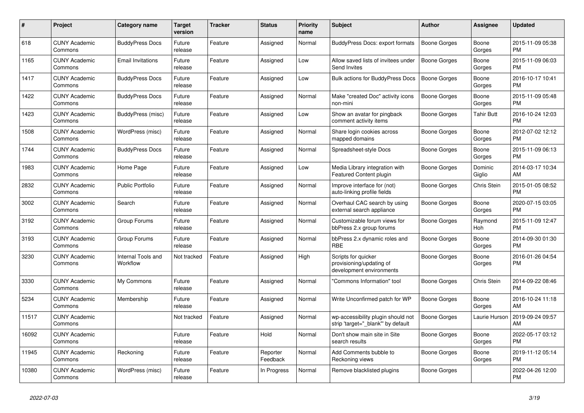| #     | <b>Project</b>                  | <b>Category name</b>           | <b>Target</b><br>version | <b>Tracker</b> | <b>Status</b>        | <b>Priority</b><br>name | <b>Subject</b>                                                              | <b>Author</b>       | Assignee          | <b>Updated</b>                |
|-------|---------------------------------|--------------------------------|--------------------------|----------------|----------------------|-------------------------|-----------------------------------------------------------------------------|---------------------|-------------------|-------------------------------|
| 618   | <b>CUNY Academic</b><br>Commons | <b>BuddyPress Docs</b>         | Future<br>release        | Feature        | Assigned             | Normal                  | BuddyPress Docs: export formats                                             | Boone Gorges        | Boone<br>Gorges   | 2015-11-09 05:38<br><b>PM</b> |
| 1165  | <b>CUNY Academic</b><br>Commons | <b>Email Invitations</b>       | Future<br>release        | Feature        | Assigned             | Low                     | Allow saved lists of invitees under<br>Send Invites                         | <b>Boone Gorges</b> | Boone<br>Gorges   | 2015-11-09 06:03<br><b>PM</b> |
| 1417  | <b>CUNY Academic</b><br>Commons | <b>BuddyPress Docs</b>         | Future<br>release        | Feature        | Assigned             | Low                     | Bulk actions for BuddyPress Docs                                            | <b>Boone Gorges</b> | Boone<br>Gorges   | 2016-10-17 10:41<br><b>PM</b> |
| 1422  | <b>CUNY Academic</b><br>Commons | <b>BuddyPress Docs</b>         | Future<br>release        | Feature        | Assigned             | Normal                  | Make "created Doc" activity icons<br>non-mini                               | Boone Gorges        | Boone<br>Gorges   | 2015-11-09 05:48<br><b>PM</b> |
| 1423  | <b>CUNY Academic</b><br>Commons | BuddyPress (misc)              | Future<br>release        | Feature        | Assigned             | Low                     | Show an avatar for pingback<br>comment activity items                       | Boone Gorges        | Tahir Butt        | 2016-10-24 12:03<br><b>PM</b> |
| 1508  | <b>CUNY Academic</b><br>Commons | WordPress (misc)               | Future<br>release        | Feature        | Assigned             | Normal                  | Share login cookies across<br>mapped domains                                | Boone Gorges        | Boone<br>Gorges   | 2012-07-02 12:12<br><b>PM</b> |
| 1744  | <b>CUNY Academic</b><br>Commons | <b>BuddyPress Docs</b>         | Future<br>release        | Feature        | Assigned             | Normal                  | Spreadsheet-style Docs                                                      | Boone Gorges        | Boone<br>Gorges   | 2015-11-09 06:13<br><b>PM</b> |
| 1983  | <b>CUNY Academic</b><br>Commons | Home Page                      | Future<br>release        | Feature        | Assigned             | Low                     | Media Library integration with<br>Featured Content plugin                   | Boone Gorges        | Dominic<br>Giglio | 2014-03-17 10:34<br>AM        |
| 2832  | <b>CUNY Academic</b><br>Commons | <b>Public Portfolio</b>        | Future<br>release        | Feature        | Assigned             | Normal                  | Improve interface for (not)<br>auto-linking profile fields                  | Boone Gorges        | Chris Stein       | 2015-01-05 08:52<br><b>PM</b> |
| 3002  | <b>CUNY Academic</b><br>Commons | Search                         | Future<br>release        | Feature        | Assigned             | Normal                  | Overhaul CAC search by using<br>external search appliance                   | Boone Gorges        | Boone<br>Gorges   | 2020-07-15 03:05<br><b>PM</b> |
| 3192  | <b>CUNY Academic</b><br>Commons | Group Forums                   | Future<br>release        | Feature        | Assigned             | Normal                  | Customizable forum views for<br>bbPress 2.x group forums                    | Boone Gorges        | Raymond<br>Hoh    | 2015-11-09 12:47<br><b>PM</b> |
| 3193  | <b>CUNY Academic</b><br>Commons | Group Forums                   | Future<br>release        | Feature        | Assigned             | Normal                  | bbPress 2.x dynamic roles and<br><b>RBE</b>                                 | Boone Gorges        | Boone<br>Gorges   | 2014-09-30 01:30<br><b>PM</b> |
| 3230  | <b>CUNY Academic</b><br>Commons | Internal Tools and<br>Workflow | Not tracked              | Feature        | Assigned             | High                    | Scripts for quicker<br>provisioning/updating of<br>development environments | Boone Gorges        | Boone<br>Gorges   | 2016-01-26 04:54<br><b>PM</b> |
| 3330  | <b>CUNY Academic</b><br>Commons | My Commons                     | Future<br>release        | Feature        | Assigned             | Normal                  | "Commons Information" tool                                                  | Boone Gorges        | Chris Stein       | 2014-09-22 08:46<br><b>PM</b> |
| 5234  | <b>CUNY Academic</b><br>Commons | Membership                     | Future<br>release        | Feature        | Assigned             | Normal                  | Write Unconfirmed patch for WP                                              | Boone Gorges        | Boone<br>Gorges   | 2016-10-24 11:18<br>AM        |
| 11517 | <b>CUNY Academic</b><br>Commons |                                | Not tracked              | Feature        | Assigned             | Normal                  | wp-accessibility plugin should not<br>strip 'target="_blank"' by default    | Boone Gorges        | Laurie Hurson     | 2019-09-24 09:57<br>AM        |
| 16092 | <b>CUNY Academic</b><br>Commons |                                | Future<br>release        | Feature        | Hold                 | Normal                  | Don't show main site in Site<br>search results                              | Boone Gorges        | Boone<br>Gorges   | 2022-05-17 03:12<br><b>PM</b> |
| 11945 | <b>CUNY Academic</b><br>Commons | Reckoning                      | Future<br>release        | Feature        | Reporter<br>Feedback | Normal                  | Add Comments bubble to<br>Reckoning views                                   | Boone Gorges        | Boone<br>Gorges   | 2019-11-12 05:14<br><b>PM</b> |
| 10380 | <b>CUNY Academic</b><br>Commons | WordPress (misc)               | Future<br>release        | Feature        | In Progress          | Normal                  | Remove blacklisted plugins                                                  | Boone Gorges        |                   | 2022-04-26 12:00<br><b>PM</b> |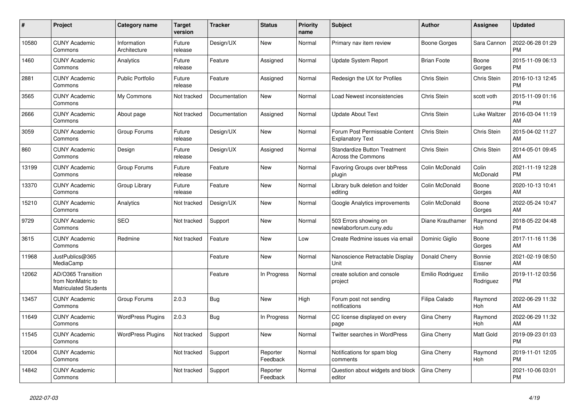| #     | Project                                                          | <b>Category name</b>        | <b>Target</b><br>version | <b>Tracker</b> | <b>Status</b>        | <b>Priority</b><br>name | <b>Subject</b>                                                   | <b>Author</b>      | Assignee            | <b>Updated</b>                |
|-------|------------------------------------------------------------------|-----------------------------|--------------------------|----------------|----------------------|-------------------------|------------------------------------------------------------------|--------------------|---------------------|-------------------------------|
| 10580 | <b>CUNY Academic</b><br>Commons                                  | Information<br>Architecture | Future<br>release        | Design/UX      | <b>New</b>           | Normal                  | Primary nav item review                                          | Boone Gorges       | Sara Cannon         | 2022-06-28 01:29<br><b>PM</b> |
| 1460  | <b>CUNY Academic</b><br>Commons                                  | Analytics                   | Future<br>release        | Feature        | Assigned             | Normal                  | <b>Update System Report</b>                                      | <b>Brian Foote</b> | Boone<br>Gorges     | 2015-11-09 06:13<br><b>PM</b> |
| 2881  | <b>CUNY Academic</b><br>Commons                                  | <b>Public Portfolio</b>     | Future<br>release        | Feature        | Assigned             | Normal                  | Redesign the UX for Profiles                                     | Chris Stein        | Chris Stein         | 2016-10-13 12:45<br><b>PM</b> |
| 3565  | <b>CUNY Academic</b><br>Commons                                  | My Commons                  | Not tracked              | Documentation  | <b>New</b>           | Normal                  | Load Newest inconsistencies                                      | Chris Stein        | scott voth          | 2015-11-09 01:16<br><b>PM</b> |
| 2666  | <b>CUNY Academic</b><br>Commons                                  | About page                  | Not tracked              | Documentation  | Assigned             | Normal                  | <b>Update About Text</b>                                         | Chris Stein        | Luke Waltzer        | 2016-03-04 11:19<br>AM        |
| 3059  | <b>CUNY Academic</b><br>Commons                                  | Group Forums                | Future<br>release        | Design/UX      | New                  | Normal                  | Forum Post Permissable Content<br><b>Explanatory Text</b>        | Chris Stein        | Chris Stein         | 2015-04-02 11:27<br>AM        |
| 860   | <b>CUNY Academic</b><br>Commons                                  | Design                      | Future<br>release        | Design/UX      | Assigned             | Normal                  | <b>Standardize Button Treatment</b><br><b>Across the Commons</b> | Chris Stein        | Chris Stein         | 2014-05-01 09:45<br>AM        |
| 13199 | <b>CUNY Academic</b><br>Commons                                  | Group Forums                | Future<br>release        | Feature        | <b>New</b>           | Normal                  | Favoring Groups over bbPress<br>plugin                           | Colin McDonald     | Colin<br>McDonald   | 2021-11-19 12:28<br><b>PM</b> |
| 13370 | <b>CUNY Academic</b><br>Commons                                  | Group Library               | Future<br>release        | Feature        | <b>New</b>           | Normal                  | Library bulk deletion and folder<br>editing                      | Colin McDonald     | Boone<br>Gorges     | 2020-10-13 10:41<br>AM        |
| 15210 | <b>CUNY Academic</b><br>Commons                                  | Analytics                   | Not tracked              | Design/UX      | New                  | Normal                  | Google Analytics improvements                                    | Colin McDonald     | Boone<br>Gorges     | 2022-05-24 10:47<br>AM        |
| 9729  | <b>CUNY Academic</b><br>Commons                                  | <b>SEO</b>                  | Not tracked              | Support        | <b>New</b>           | Normal                  | 503 Errors showing on<br>newlaborforum.cuny.edu                  | Diane Krauthamer   | Raymond<br>Hoh      | 2018-05-22 04:48<br><b>PM</b> |
| 3615  | <b>CUNY Academic</b><br>Commons                                  | Redmine                     | Not tracked              | Feature        | New                  | Low                     | Create Redmine issues via email                                  | Dominic Giglio     | Boone<br>Gorges     | 2017-11-16 11:36<br>AM        |
| 11968 | JustPublics@365<br>MediaCamp                                     |                             |                          | Feature        | New                  | Normal                  | Nanoscience Retractable Display<br>Unit                          | Donald Cherry      | Bonnie<br>Eissner   | 2021-02-19 08:50<br>AM        |
| 12062 | AD/O365 Transition<br>from NonMatric to<br>Matriculated Students |                             |                          | Feature        | In Progress          | Normal                  | create solution and console<br>project                           | Emilio Rodriguez   | Emilio<br>Rodriguez | 2019-11-12 03:56<br><b>PM</b> |
| 13457 | <b>CUNY Academic</b><br>Commons                                  | Group Forums                | 2.0.3                    | Bug            | <b>New</b>           | High                    | Forum post not sending<br>notifications                          | Filipa Calado      | Raymond<br>Hoh      | 2022-06-29 11:32<br>AM        |
| 11649 | <b>CUNY Academic</b><br>Commons                                  | <b>WordPress Plugins</b>    | 2.0.3                    | Bug            | In Progress          | Normal                  | CC license displayed on every<br>page                            | Gina Cherry        | Raymond<br>Hoh      | 2022-06-29 11:32<br>AM        |
| 11545 | <b>CUNY Academic</b><br>Commons                                  | <b>WordPress Plugins</b>    | Not tracked              | Support        | <b>New</b>           | Normal                  | Twitter searches in WordPress                                    | Gina Cherry        | Matt Gold           | 2019-09-23 01:03<br><b>PM</b> |
| 12004 | <b>CUNY Academic</b><br>Commons                                  |                             | Not tracked              | Support        | Reporter<br>Feedback | Normal                  | Notifications for spam blog<br>comments                          | Gina Cherry        | Raymond<br>Hoh      | 2019-11-01 12:05<br><b>PM</b> |
| 14842 | <b>CUNY Academic</b><br>Commons                                  |                             | Not tracked              | Support        | Reporter<br>Feedback | Normal                  | Question about widgets and block<br>editor                       | Gina Cherry        |                     | 2021-10-06 03:01<br><b>PM</b> |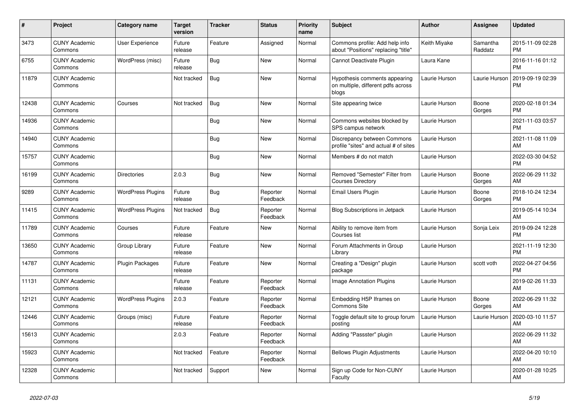| #     | <b>Project</b>                  | Category name            | <b>Target</b><br>version | <b>Tracker</b> | <b>Status</b>        | <b>Priority</b><br>name | <b>Subject</b>                                                               | <b>Author</b> | Assignee            | <b>Updated</b>                |
|-------|---------------------------------|--------------------------|--------------------------|----------------|----------------------|-------------------------|------------------------------------------------------------------------------|---------------|---------------------|-------------------------------|
| 3473  | <b>CUNY Academic</b><br>Commons | <b>User Experience</b>   | Future<br>release        | Feature        | Assigned             | Normal                  | Commons profile: Add help info<br>about "Positions" replacing "title"        | Keith Miyake  | Samantha<br>Raddatz | 2015-11-09 02:28<br><b>PM</b> |
| 6755  | <b>CUNY Academic</b><br>Commons | WordPress (misc)         | Future<br>release        | Bug            | New                  | Normal                  | Cannot Deactivate Plugin                                                     | Laura Kane    |                     | 2016-11-16 01:12<br><b>PM</b> |
| 11879 | <b>CUNY Academic</b><br>Commons |                          | Not tracked              | Bug            | <b>New</b>           | Normal                  | Hypothesis comments appearing<br>on multiple, different pdfs across<br>blogs | Laurie Hurson | Laurie Hurson       | 2019-09-19 02:39<br><b>PM</b> |
| 12438 | <b>CUNY Academic</b><br>Commons | Courses                  | Not tracked              | <b>Bug</b>     | New                  | Normal                  | Site appearing twice                                                         | Laurie Hurson | Boone<br>Gorges     | 2020-02-18 01:34<br><b>PM</b> |
| 14936 | <b>CUNY Academic</b><br>Commons |                          |                          | Bug            | New                  | Normal                  | Commons websites blocked by<br>SPS campus network                            | Laurie Hurson |                     | 2021-11-03 03:57<br><b>PM</b> |
| 14940 | <b>CUNY Academic</b><br>Commons |                          |                          | Bug            | <b>New</b>           | Normal                  | Discrepancy between Commons<br>profile "sites" and actual # of sites         | Laurie Hurson |                     | 2021-11-08 11:09<br>AM        |
| 15757 | <b>CUNY Academic</b><br>Commons |                          |                          | <b>Bug</b>     | New                  | Normal                  | Members # do not match                                                       | Laurie Hurson |                     | 2022-03-30 04:52<br><b>PM</b> |
| 16199 | <b>CUNY Academic</b><br>Commons | <b>Directories</b>       | 2.0.3                    | Bug            | New                  | Normal                  | Removed "Semester" Filter from<br><b>Courses Directory</b>                   | Laurie Hurson | Boone<br>Gorges     | 2022-06-29 11:32<br>AM        |
| 9289  | <b>CUNY Academic</b><br>Commons | <b>WordPress Plugins</b> | Future<br>release        | Bug            | Reporter<br>Feedback | Normal                  | Email Users Plugin                                                           | Laurie Hurson | Boone<br>Gorges     | 2018-10-24 12:34<br><b>PM</b> |
| 11415 | <b>CUNY Academic</b><br>Commons | <b>WordPress Plugins</b> | Not tracked              | <b>Bug</b>     | Reporter<br>Feedback | Normal                  | <b>Blog Subscriptions in Jetpack</b>                                         | Laurie Hurson |                     | 2019-05-14 10:34<br>AM        |
| 11789 | <b>CUNY Academic</b><br>Commons | Courses                  | Future<br>release        | Feature        | New                  | Normal                  | Ability to remove item from<br>Courses list                                  | Laurie Hurson | Sonja Leix          | 2019-09-24 12:28<br><b>PM</b> |
| 13650 | <b>CUNY Academic</b><br>Commons | Group Library            | Future<br>release        | Feature        | <b>New</b>           | Normal                  | Forum Attachments in Group<br>Library                                        | Laurie Hurson |                     | 2021-11-19 12:30<br><b>PM</b> |
| 14787 | <b>CUNY Academic</b><br>Commons | Plugin Packages          | Future<br>release        | Feature        | <b>New</b>           | Normal                  | Creating a "Design" plugin<br>package                                        | Laurie Hurson | scott voth          | 2022-04-27 04:56<br><b>PM</b> |
| 11131 | <b>CUNY Academic</b><br>Commons |                          | Future<br>release        | Feature        | Reporter<br>Feedback | Normal                  | Image Annotation Plugins                                                     | Laurie Hurson |                     | 2019-02-26 11:33<br>AM        |
| 12121 | <b>CUNY Academic</b><br>Commons | <b>WordPress Plugins</b> | 2.0.3                    | Feature        | Reporter<br>Feedback | Normal                  | Embedding H5P Iframes on<br><b>Commons Site</b>                              | Laurie Hurson | Boone<br>Gorges     | 2022-06-29 11:32<br>AM        |
| 12446 | <b>CUNY Academic</b><br>Commons | Groups (misc)            | Future<br>release        | Feature        | Reporter<br>Feedback | Normal                  | Toggle default site to group forum<br>posting                                | Laurie Hurson | Laurie Hurson       | 2020-03-10 11:57<br>AM        |
| 15613 | <b>CUNY Academic</b><br>Commons |                          | 2.0.3                    | Feature        | Reporter<br>Feedback | Normal                  | Adding "Passster" plugin                                                     | Laurie Hurson |                     | 2022-06-29 11:32<br>AM        |
| 15923 | <b>CUNY Academic</b><br>Commons |                          | Not tracked              | Feature        | Reporter<br>Feedback | Normal                  | <b>Bellows Plugin Adjustments</b>                                            | Laurie Hurson |                     | 2022-04-20 10:10<br>AM        |
| 12328 | <b>CUNY Academic</b><br>Commons |                          | Not tracked              | Support        | <b>New</b>           | Normal                  | Sign up Code for Non-CUNY<br>Faculty                                         | Laurie Hurson |                     | 2020-01-28 10:25<br>AM        |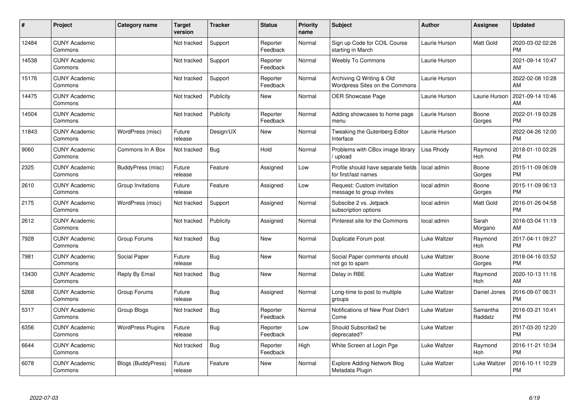| #     | Project                         | <b>Category name</b>      | <b>Target</b><br>version | <b>Tracker</b> | <b>Status</b>        | <b>Priority</b><br>name | <b>Subject</b>                                              | <b>Author</b> | <b>Assignee</b>     | <b>Updated</b>                |
|-------|---------------------------------|---------------------------|--------------------------|----------------|----------------------|-------------------------|-------------------------------------------------------------|---------------|---------------------|-------------------------------|
| 12484 | <b>CUNY Academic</b><br>Commons |                           | Not tracked              | Support        | Reporter<br>Feedback | Normal                  | Sign up Code for COIL Course<br>starting in March           | Laurie Hurson | Matt Gold           | 2020-03-02 02:26<br><b>PM</b> |
| 14538 | <b>CUNY Academic</b><br>Commons |                           | Not tracked              | Support        | Reporter<br>Feedback | Normal                  | <b>Weebly To Commons</b>                                    | Laurie Hurson |                     | 2021-09-14 10:47<br>AM        |
| 15176 | <b>CUNY Academic</b><br>Commons |                           | Not tracked              | Support        | Reporter<br>Feedback | Normal                  | Archiving Q Writing & Old<br>Wordpress Sites on the Commons | Laurie Hurson |                     | 2022-02-08 10:28<br>AM        |
| 14475 | <b>CUNY Academic</b><br>Commons |                           | Not tracked              | Publicity      | New                  | Normal                  | <b>OER Showcase Page</b>                                    | Laurie Hurson | Laurie Hurson       | 2021-09-14 10:46<br>AM        |
| 14504 | <b>CUNY Academic</b><br>Commons |                           | Not tracked              | Publicity      | Reporter<br>Feedback | Normal                  | Adding showcases to home page<br>menu                       | Laurie Hurson | Boone<br>Gorges     | 2022-01-19 03:26<br><b>PM</b> |
| 11843 | <b>CUNY Academic</b><br>Commons | WordPress (misc)          | Future<br>release        | Design/UX      | <b>New</b>           | Normal                  | Tweaking the Gutenberg Editor<br>Interface                  | Laurie Hurson |                     | 2022-04-26 12:00<br><b>PM</b> |
| 9060  | <b>CUNY Academic</b><br>Commons | Commons In A Box          | Not tracked              | Bug            | Hold                 | Normal                  | Problems with CBox image library<br>upload                  | Lisa Rhody    | Raymond<br>Hoh      | 2018-01-10 03:26<br><b>PM</b> |
| 2325  | <b>CUNY Academic</b><br>Commons | BuddyPress (misc)         | Future<br>release        | Feature        | Assigned             | Low                     | Profile should have separate fields<br>for first/last names | local admin   | Boone<br>Gorges     | 2015-11-09 06:09<br><b>PM</b> |
| 2610  | <b>CUNY Academic</b><br>Commons | Group Invitations         | Future<br>release        | Feature        | Assigned             | Low                     | Request: Custom invitation<br>message to group invites      | local admin   | Boone<br>Gorges     | 2015-11-09 06:13<br><b>PM</b> |
| 2175  | <b>CUNY Academic</b><br>Commons | WordPress (misc)          | Not tracked              | Support        | Assigned             | Normal                  | Subscibe 2 vs. Jetpack<br>subscription options              | local admin   | Matt Gold           | 2016-01-26 04:58<br><b>PM</b> |
| 2612  | <b>CUNY Academic</b><br>Commons |                           | Not tracked              | Publicity      | Assigned             | Normal                  | Pinterest site for the Commons                              | local admin   | Sarah<br>Morgano    | 2016-03-04 11:19<br>AM        |
| 7928  | <b>CUNY Academic</b><br>Commons | Group Forums              | Not tracked              | Bug            | <b>New</b>           | Normal                  | Duplicate Forum post                                        | Luke Waltzer  | Raymond<br>Hoh      | 2017-04-11 09:27<br><b>PM</b> |
| 7981  | <b>CUNY Academic</b><br>Commons | Social Paper              | Future<br>release        | Bug            | <b>New</b>           | Normal                  | Social Paper comments should<br>not go to spam              | Luke Waltzer  | Boone<br>Gorges     | 2018-04-16 03:52<br><b>PM</b> |
| 13430 | <b>CUNY Academic</b><br>Commons | Reply By Email            | Not tracked              | Bug            | <b>New</b>           | Normal                  | Delay in RBE                                                | Luke Waltzer  | Raymond<br>Hoh      | 2020-10-13 11:16<br>AM        |
| 5268  | <b>CUNY Academic</b><br>Commons | Group Forums              | Future<br>release        | <b>Bug</b>     | Assigned             | Normal                  | Long-time to post to multiple<br>groups                     | Luke Waltzer  | Daniel Jones        | 2016-09-07 06:31<br><b>PM</b> |
| 5317  | <b>CUNY Academic</b><br>Commons | Group Blogs               | Not tracked              | Bug            | Reporter<br>Feedback | Normal                  | Notifications of New Post Didn't<br>Come                    | Luke Waltzer  | Samantha<br>Raddatz | 2016-03-21 10:41<br><b>PM</b> |
| 6356  | <b>CUNY Academic</b><br>Commons | <b>WordPress Plugins</b>  | Future<br>release        | <b>Bug</b>     | Reporter<br>Feedback | Low                     | Should Subscribe2 be<br>deprecated?                         | Luke Waltzer  |                     | 2017-03-20 12:20<br><b>PM</b> |
| 6644  | <b>CUNY Academic</b><br>Commons |                           | Not tracked              | Bug            | Reporter<br>Feedback | High                    | White Screen at Login Pge                                   | Luke Waltzer  | Raymond<br>Hoh      | 2016-11-21 10:34<br><b>PM</b> |
| 6078  | <b>CUNY Academic</b><br>Commons | <b>Blogs (BuddyPress)</b> | Future<br>release        | Feature        | New                  | Normal                  | Explore Adding Network Blog<br>Metadata Plugin              | Luke Waltzer  | Luke Waltzer        | 2016-10-11 10:29<br>PM        |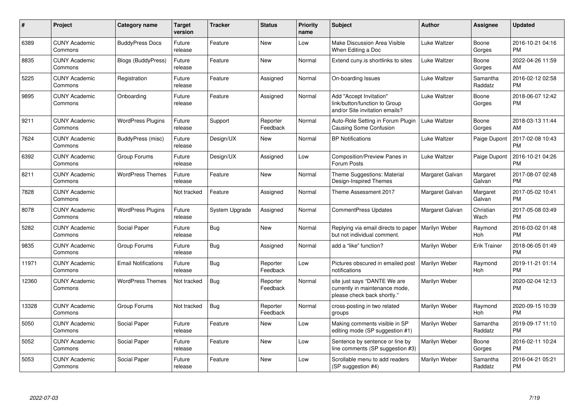| #     | Project                         | <b>Category name</b>       | <b>Target</b><br>version | <b>Tracker</b> | <b>Status</b>        | Priority<br>name | <b>Subject</b>                                                                                | <b>Author</b>   | <b>Assignee</b>     | <b>Updated</b>                |
|-------|---------------------------------|----------------------------|--------------------------|----------------|----------------------|------------------|-----------------------------------------------------------------------------------------------|-----------------|---------------------|-------------------------------|
| 6389  | <b>CUNY Academic</b><br>Commons | <b>BuddyPress Docs</b>     | Future<br>release        | Feature        | New                  | Low              | Make Discussion Area Visible<br>When Editing a Doc                                            | Luke Waltzer    | Boone<br>Gorges     | 2016-10-21 04:16<br><b>PM</b> |
| 8835  | <b>CUNY Academic</b><br>Commons | <b>Blogs (BuddyPress)</b>  | Future<br>release        | Feature        | <b>New</b>           | Normal           | Extend cuny is shortlinks to sites                                                            | Luke Waltzer    | Boone<br>Gorges     | 2022-04-26 11:59<br>AM        |
| 5225  | <b>CUNY Academic</b><br>Commons | Registration               | Future<br>release        | Feature        | Assigned             | Normal           | On-boarding Issues                                                                            | Luke Waltzer    | Samantha<br>Raddatz | 2016-02-12 02:58<br><b>PM</b> |
| 9895  | <b>CUNY Academic</b><br>Commons | Onboarding                 | Future<br>release        | Feature        | Assigned             | Normal           | Add "Accept Invitation"<br>link/button/function to Group<br>and/or Site invitation emails?    | Luke Waltzer    | Boone<br>Gorges     | 2018-06-07 12:42<br><b>PM</b> |
| 9211  | <b>CUNY Academic</b><br>Commons | <b>WordPress Plugins</b>   | Future<br>release        | Support        | Reporter<br>Feedback | Normal           | Auto-Role Setting in Forum Plugin<br><b>Causing Some Confusion</b>                            | Luke Waltzer    | Boone<br>Gorges     | 2018-03-13 11:44<br>AM        |
| 7624  | <b>CUNY Academic</b><br>Commons | BuddyPress (misc)          | Future<br>release        | Design/UX      | New                  | Normal           | <b>BP</b> Notifications                                                                       | Luke Waltzer    | Paige Dupont        | 2017-02-08 10:43<br><b>PM</b> |
| 6392  | <b>CUNY Academic</b><br>Commons | Group Forums               | Future<br>release        | Design/UX      | Assigned             | Low              | Composition/Preview Panes in<br>Forum Posts                                                   | Luke Waltzer    | Paige Dupont        | 2016-10-21 04:26<br><b>PM</b> |
| 8211  | <b>CUNY Academic</b><br>Commons | <b>WordPress Themes</b>    | Future<br>release        | Feature        | <b>New</b>           | Normal           | Theme Suggestions: Material<br>Design-Inspired Themes                                         | Margaret Galvan | Margaret<br>Galvan  | 2017-08-07 02:48<br><b>PM</b> |
| 7828  | <b>CUNY Academic</b><br>Commons |                            | Not tracked              | Feature        | Assigned             | Normal           | Theme Assessment 2017                                                                         | Margaret Galvan | Margaret<br>Galvan  | 2017-05-02 10:41<br><b>PM</b> |
| 8078  | <b>CUNY Academic</b><br>Commons | <b>WordPress Plugins</b>   | Future<br>release        | System Upgrade | Assigned             | Normal           | CommentPress Updates                                                                          | Margaret Galvan | Christian<br>Wach   | 2017-05-08 03:49<br><b>PM</b> |
| 5282  | <b>CUNY Academic</b><br>Commons | Social Paper               | Future<br>release        | <b>Bug</b>     | New                  | Normal           | Replying via email directs to paper<br>but not individual comment.                            | Marilyn Weber   | Raymond<br>Hoh      | 2016-03-02 01:48<br><b>PM</b> |
| 9835  | <b>CUNY Academic</b><br>Commons | Group Forums               | Future<br>release        | Bug            | Assigned             | Normal           | add a "like" function?                                                                        | Marilyn Weber   | <b>Erik Trainer</b> | 2018-06-05 01:49<br><b>PM</b> |
| 11971 | <b>CUNY Academic</b><br>Commons | <b>Email Notifications</b> | Future<br>release        | Bug            | Reporter<br>Feedback | Low              | Pictures obscured in emailed post<br>notifications                                            | Marilyn Weber   | Raymond<br>Hoh      | 2019-11-21 01:14<br><b>PM</b> |
| 12360 | <b>CUNY Academic</b><br>Commons | <b>WordPress Themes</b>    | Not tracked              | <b>Bug</b>     | Reporter<br>Feedback | Normal           | site just says "DANTE We are<br>currently in maintenance mode,<br>please check back shortly." | Marilyn Weber   |                     | 2020-02-04 12:13<br><b>PM</b> |
| 13328 | <b>CUNY Academic</b><br>Commons | Group Forums               | Not tracked              | <b>Bug</b>     | Reporter<br>Feedback | Normal           | cross-posting in two related<br>groups                                                        | Marilyn Weber   | Raymond<br>Hoh      | 2020-09-15 10:39<br><b>PM</b> |
| 5050  | <b>CUNY Academic</b><br>Commons | Social Paper               | Future<br>release        | Feature        | New                  | Low              | Making comments visible in SP<br>editing mode (SP suggestion #1)                              | Marilyn Weber   | Samantha<br>Raddatz | 2019-09-17 11:10<br><b>PM</b> |
| 5052  | <b>CUNY Academic</b><br>Commons | Social Paper               | Future<br>release        | Feature        | New                  | Low              | Sentence by sentence or line by<br>line comments (SP suggestion #3)                           | Marilyn Weber   | Boone<br>Gorges     | 2016-02-11 10:24<br><b>PM</b> |
| 5053  | <b>CUNY Academic</b><br>Commons | Social Paper               | Future<br>release        | Feature        | New                  | Low              | Scrollable menu to add readers<br>(SP suggestion #4)                                          | Marilyn Weber   | Samantha<br>Raddatz | 2016-04-21 05:21<br><b>PM</b> |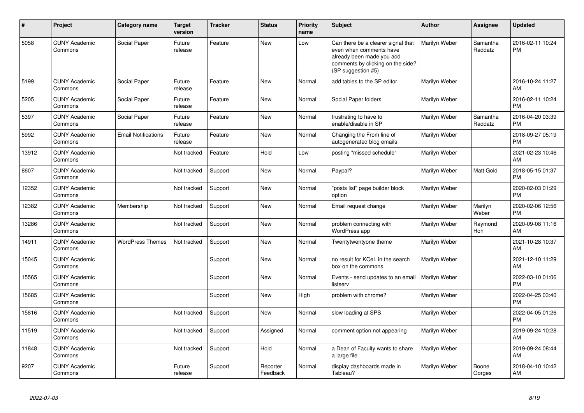| #     | <b>Project</b>                  | Category name              | <b>Target</b><br>version | <b>Tracker</b> | <b>Status</b>        | <b>Priority</b><br>name | <b>Subject</b>                                                                                                                                        | Author        | Assignee            | <b>Updated</b>                |
|-------|---------------------------------|----------------------------|--------------------------|----------------|----------------------|-------------------------|-------------------------------------------------------------------------------------------------------------------------------------------------------|---------------|---------------------|-------------------------------|
| 5058  | <b>CUNY Academic</b><br>Commons | Social Paper               | Future<br>release        | Feature        | <b>New</b>           | Low                     | Can there be a clearer signal that<br>even when comments have<br>already been made you add<br>comments by clicking on the side?<br>(SP suggestion #5) | Marilyn Weber | Samantha<br>Raddatz | 2016-02-11 10:24<br><b>PM</b> |
| 5199  | <b>CUNY Academic</b><br>Commons | Social Paper               | Future<br>release        | Feature        | New                  | Normal                  | add tables to the SP editor                                                                                                                           | Marilyn Weber |                     | 2016-10-24 11:27<br>AM        |
| 5205  | <b>CUNY Academic</b><br>Commons | Social Paper               | Future<br>release        | Feature        | <b>New</b>           | Normal                  | Social Paper folders                                                                                                                                  | Marilyn Weber |                     | 2016-02-11 10:24<br><b>PM</b> |
| 5397  | <b>CUNY Academic</b><br>Commons | Social Paper               | Future<br>release        | Feature        | <b>New</b>           | Normal                  | frustrating to have to<br>enable/disable in SP                                                                                                        | Marilyn Weber | Samantha<br>Raddatz | 2016-04-20 03:39<br><b>PM</b> |
| 5992  | <b>CUNY Academic</b><br>Commons | <b>Email Notifications</b> | Future<br>release        | Feature        | <b>New</b>           | Normal                  | Changing the From line of<br>autogenerated blog emails                                                                                                | Marilyn Weber |                     | 2018-09-27 05:19<br><b>PM</b> |
| 13912 | <b>CUNY Academic</b><br>Commons |                            | Not tracked              | Feature        | Hold                 | Low                     | posting "missed schedule"                                                                                                                             | Marilyn Weber |                     | 2021-02-23 10:46<br>AM        |
| 8607  | <b>CUNY Academic</b><br>Commons |                            | Not tracked              | Support        | <b>New</b>           | Normal                  | Paypal?                                                                                                                                               | Marilyn Weber | Matt Gold           | 2018-05-15 01:37<br><b>PM</b> |
| 12352 | <b>CUNY Academic</b><br>Commons |                            | Not tracked              | Support        | New                  | Normal                  | 'posts list" page builder block<br>option                                                                                                             | Marilyn Weber |                     | 2020-02-03 01:29<br><b>PM</b> |
| 12382 | <b>CUNY Academic</b><br>Commons | Membership                 | Not tracked              | Support        | <b>New</b>           | Normal                  | Email request change                                                                                                                                  | Marilyn Weber | Marilyn<br>Weber    | 2020-02-06 12:56<br><b>PM</b> |
| 13286 | <b>CUNY Academic</b><br>Commons |                            | Not tracked              | Support        | <b>New</b>           | Normal                  | problem connecting with<br>WordPress app                                                                                                              | Marilyn Weber | Raymond<br>Hoh      | 2020-09-08 11:16<br>AM        |
| 14911 | <b>CUNY Academic</b><br>Commons | <b>WordPress Themes</b>    | Not tracked              | Support        | <b>New</b>           | Normal                  | Twentytwentyone theme                                                                                                                                 | Marilyn Weber |                     | 2021-10-28 10:37<br>AM        |
| 15045 | <b>CUNY Academic</b><br>Commons |                            |                          | Support        | <b>New</b>           | Normal                  | no result for KCeL in the search<br>box on the commons                                                                                                | Marilyn Weber |                     | 2021-12-10 11:29<br>AM        |
| 15565 | <b>CUNY Academic</b><br>Commons |                            |                          | Support        | New                  | Normal                  | Events - send updates to an email<br>listserv                                                                                                         | Marilyn Weber |                     | 2022-03-10 01:06<br><b>PM</b> |
| 15685 | <b>CUNY Academic</b><br>Commons |                            |                          | Support        | <b>New</b>           | High                    | problem with chrome?                                                                                                                                  | Marilyn Weber |                     | 2022-04-25 03:40<br><b>PM</b> |
| 15816 | <b>CUNY Academic</b><br>Commons |                            | Not tracked              | Support        | <b>New</b>           | Normal                  | slow loading at SPS                                                                                                                                   | Marilyn Weber |                     | 2022-04-05 01:26<br><b>PM</b> |
| 11519 | <b>CUNY Academic</b><br>Commons |                            | Not tracked              | Support        | Assigned             | Normal                  | comment option not appearing                                                                                                                          | Marilyn Weber |                     | 2019-09-24 10:28<br>AM        |
| 11848 | <b>CUNY Academic</b><br>Commons |                            | Not tracked              | Support        | Hold                 | Normal                  | a Dean of Faculty wants to share<br>a large file                                                                                                      | Marilyn Weber |                     | 2019-09-24 08:44<br>AM        |
| 9207  | <b>CUNY Academic</b><br>Commons |                            | Future<br>release        | Support        | Reporter<br>Feedback | Normal                  | display dashboards made in<br>Tableau?                                                                                                                | Marilyn Weber | Boone<br>Gorges     | 2018-04-10 10:42<br>AM        |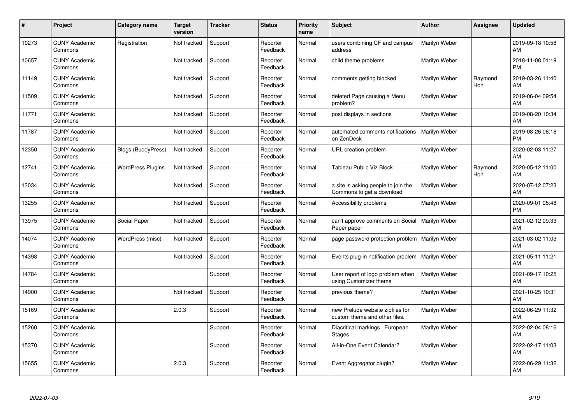| #     | Project                         | Category name             | <b>Target</b><br>version | <b>Tracker</b> | <b>Status</b>        | <b>Priority</b><br>name | <b>Subject</b>                                                    | <b>Author</b> | <b>Assignee</b> | <b>Updated</b>                |
|-------|---------------------------------|---------------------------|--------------------------|----------------|----------------------|-------------------------|-------------------------------------------------------------------|---------------|-----------------|-------------------------------|
| 10273 | <b>CUNY Academic</b><br>Commons | Registration              | Not tracked              | Support        | Reporter<br>Feedback | Normal                  | users combining CF and campus<br>address                          | Marilyn Weber |                 | 2019-09-18 10:58<br>AM        |
| 10657 | <b>CUNY Academic</b><br>Commons |                           | Not tracked              | Support        | Reporter<br>Feedback | Normal                  | child theme problems                                              | Marilyn Weber |                 | 2018-11-08 01:19<br><b>PM</b> |
| 11149 | <b>CUNY Academic</b><br>Commons |                           | Not tracked              | Support        | Reporter<br>Feedback | Normal                  | comments getting blocked                                          | Marilyn Weber | Raymond<br>Hoh  | 2019-03-26 11:40<br>AM        |
| 11509 | <b>CUNY Academic</b><br>Commons |                           | Not tracked              | Support        | Reporter<br>Feedback | Normal                  | deleted Page causing a Menu<br>problem?                           | Marilyn Weber |                 | 2019-06-04 09:54<br>AM        |
| 11771 | <b>CUNY Academic</b><br>Commons |                           | Not tracked              | Support        | Reporter<br>Feedback | Normal                  | post displays in sections                                         | Marilyn Weber |                 | 2019-08-20 10:34<br>AM        |
| 11787 | <b>CUNY Academic</b><br>Commons |                           | Not tracked              | Support        | Reporter<br>Feedback | Normal                  | automated comments notifications<br>on ZenDesk                    | Marilyn Weber |                 | 2019-08-26 06:18<br><b>PM</b> |
| 12350 | <b>CUNY Academic</b><br>Commons | <b>Blogs (BuddyPress)</b> | Not tracked              | Support        | Reporter<br>Feedback | Normal                  | URL creation problem                                              | Marilyn Weber |                 | 2020-02-03 11:27<br>AM        |
| 12741 | <b>CUNY Academic</b><br>Commons | <b>WordPress Plugins</b>  | Not tracked              | Support        | Reporter<br>Feedback | Normal                  | Tableau Public Viz Block                                          | Marilyn Weber | Raymond<br>Hoh  | 2020-05-12 11:00<br>AM        |
| 13034 | <b>CUNY Academic</b><br>Commons |                           | Not tracked              | Support        | Reporter<br>Feedback | Normal                  | a site is asking people to join the<br>Commons to get a download  | Marilyn Weber |                 | 2020-07-12 07:23<br>AM        |
| 13255 | <b>CUNY Academic</b><br>Commons |                           | Not tracked              | Support        | Reporter<br>Feedback | Normal                  | Accessibility problems                                            | Marilyn Weber |                 | 2020-09-01 05:48<br>PM        |
| 13975 | <b>CUNY Academic</b><br>Commons | Social Paper              | Not tracked              | Support        | Reporter<br>Feedback | Normal                  | can't approve comments on Social<br>Paper paper                   | Marilyn Weber |                 | 2021-02-12 09:33<br>AM        |
| 14074 | <b>CUNY Academic</b><br>Commons | WordPress (misc)          | Not tracked              | Support        | Reporter<br>Feedback | Normal                  | page password protection problem                                  | Marilyn Weber |                 | 2021-03-02 11:03<br>AM        |
| 14398 | <b>CUNY Academic</b><br>Commons |                           | Not tracked              | Support        | Reporter<br>Feedback | Normal                  | Events plug-in notification problem                               | Marilyn Weber |                 | 2021-05-11 11:21<br>AM        |
| 14784 | <b>CUNY Academic</b><br>Commons |                           |                          | Support        | Reporter<br>Feedback | Normal                  | User report of logo problem when<br>using Customizer theme        | Marilyn Weber |                 | 2021-09-17 10:25<br><b>AM</b> |
| 14900 | <b>CUNY Academic</b><br>Commons |                           | Not tracked              | Support        | Reporter<br>Feedback | Normal                  | previous theme?                                                   | Marilyn Weber |                 | 2021-10-25 10:31<br><b>AM</b> |
| 15169 | <b>CUNY Academic</b><br>Commons |                           | 2.0.3                    | Support        | Reporter<br>Feedback | Normal                  | new Prelude website zipfiles for<br>custom theme and other files. | Marilyn Weber |                 | 2022-06-29 11:32<br>AM        |
| 15260 | <b>CUNY Academic</b><br>Commons |                           |                          | Support        | Reporter<br>Feedback | Normal                  | Diacritical markings   European<br><b>Stages</b>                  | Marilyn Weber |                 | 2022-02-04 08:16<br><b>AM</b> |
| 15370 | <b>CUNY Academic</b><br>Commons |                           |                          | Support        | Reporter<br>Feedback | Normal                  | All-in-One Event Calendar?                                        | Marilyn Weber |                 | 2022-02-17 11:03<br>AM        |
| 15655 | <b>CUNY Academic</b><br>Commons |                           | 2.0.3                    | Support        | Reporter<br>Feedback | Normal                  | Event Aggregator plugin?                                          | Marilyn Weber |                 | 2022-06-29 11:32<br>AM        |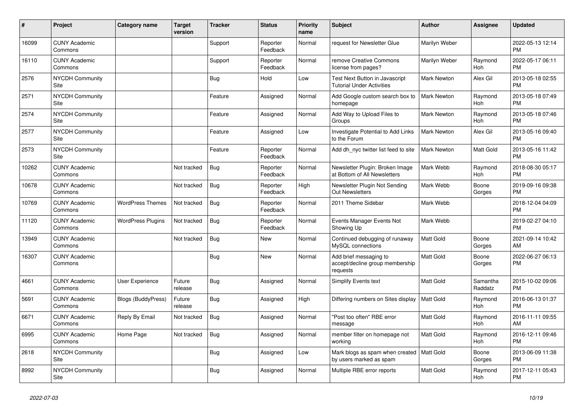| #     | Project                         | <b>Category name</b>      | <b>Target</b><br>version | <b>Tracker</b> | <b>Status</b>        | <b>Priority</b><br>name | <b>Subject</b>                                                         | <b>Author</b>      | Assignee            | <b>Updated</b>                |
|-------|---------------------------------|---------------------------|--------------------------|----------------|----------------------|-------------------------|------------------------------------------------------------------------|--------------------|---------------------|-------------------------------|
| 16099 | <b>CUNY Academic</b><br>Commons |                           |                          | Support        | Reporter<br>Feedback | Normal                  | request for Newsletter Glue                                            | Marilyn Weber      |                     | 2022-05-13 12:14<br><b>PM</b> |
| 16110 | <b>CUNY Academic</b><br>Commons |                           |                          | Support        | Reporter<br>Feedback | Normal                  | remove Creative Commons<br>license from pages?                         | Marilyn Weber      | Raymond<br>Hoh      | 2022-05-17 06:11<br><b>PM</b> |
| 2576  | <b>NYCDH Community</b><br>Site  |                           |                          | Bug            | Hold                 | Low                     | Test Next Button in Javascript<br><b>Tutorial Under Activities</b>     | <b>Mark Newton</b> | Alex Gil            | 2013-05-18 02:55<br><b>PM</b> |
| 2571  | <b>NYCDH Community</b><br>Site  |                           |                          | Feature        | Assigned             | Normal                  | Add Google custom search box to<br>homepage                            | Mark Newton        | Raymond<br>Hoh      | 2013-05-18 07:49<br><b>PM</b> |
| 2574  | <b>NYCDH Community</b><br>Site  |                           |                          | Feature        | Assigned             | Normal                  | Add Way to Upload Files to<br>Groups                                   | <b>Mark Newton</b> | Raymond<br>Hoh      | 2013-05-18 07:46<br><b>PM</b> |
| 2577  | <b>NYCDH Community</b><br>Site  |                           |                          | Feature        | Assigned             | Low                     | Investigate Potential to Add Links<br>to the Forum                     | <b>Mark Newton</b> | Alex Gil            | 2013-05-16 09:40<br><b>PM</b> |
| 2573  | <b>NYCDH Community</b><br>Site  |                           |                          | Feature        | Reporter<br>Feedback | Normal                  | Add dh nyc twitter list feed to site                                   | Mark Newton        | Matt Gold           | 2013-05-16 11:42<br><b>PM</b> |
| 10262 | <b>CUNY Academic</b><br>Commons |                           | Not tracked              | Bug            | Reporter<br>Feedback | Normal                  | Newsletter Plugin: Broken Image<br>at Bottom of All Newsletters        | Mark Webb          | Raymond<br>Hoh      | 2018-08-30 05:17<br><b>PM</b> |
| 10678 | <b>CUNY Academic</b><br>Commons |                           | Not tracked              | Bug            | Reporter<br>Feedback | High                    | Newsletter Plugin Not Sending<br><b>Out Newsletters</b>                | Mark Webb          | Boone<br>Gorges     | 2019-09-16 09:38<br><b>PM</b> |
| 10769 | <b>CUNY Academic</b><br>Commons | <b>WordPress Themes</b>   | Not tracked              | <b>Bug</b>     | Reporter<br>Feedback | Normal                  | 2011 Theme Sidebar                                                     | Mark Webb          |                     | 2018-12-04 04:09<br><b>PM</b> |
| 11120 | <b>CUNY Academic</b><br>Commons | <b>WordPress Plugins</b>  | Not tracked              | <b>Bug</b>     | Reporter<br>Feedback | Normal                  | Events Manager Events Not<br>Showing Up                                | Mark Webb          |                     | 2019-02-27 04:10<br><b>PM</b> |
| 13949 | <b>CUNY Academic</b><br>Commons |                           | Not tracked              | Bug            | <b>New</b>           | Normal                  | Continued debugging of runaway<br>MySQL connections                    | Matt Gold          | Boone<br>Gorges     | 2021-09-14 10:42<br>AM        |
| 16307 | <b>CUNY Academic</b><br>Commons |                           |                          | Bug            | <b>New</b>           | Normal                  | Add brief messaging to<br>accept/decline group membership<br>requests  | Matt Gold          | Boone<br>Gorges     | 2022-06-27 06:13<br><b>PM</b> |
| 4661  | <b>CUNY Academic</b><br>Commons | User Experience           | Future<br>release        | Bug            | Assigned             | Normal                  | <b>Simplify Events text</b>                                            | <b>Matt Gold</b>   | Samantha<br>Raddatz | 2015-10-02 09:06<br><b>PM</b> |
| 5691  | <b>CUNY Academic</b><br>Commons | <b>Blogs (BuddyPress)</b> | Future<br>release        | Bug            | Assigned             | High                    | Differing numbers on Sites display                                     | Matt Gold          | Raymond<br>Hoh      | 2016-06-13 01:37<br><b>PM</b> |
| 6671  | <b>CUNY Academic</b><br>Commons | Reply By Email            | Not tracked              | <b>Bug</b>     | Assigned             | Normal                  | "Post too often" RBE error<br>message                                  | Matt Gold          | Raymond<br>Hoh      | 2016-11-11 09:55<br>AM        |
| 6995  | <b>CUNY Academic</b><br>Commons | Home Page                 | Not tracked              | Bug            | Assigned             | Normal                  | member filter on homepage not<br>working                               | Matt Gold          | Raymond<br>Hoh      | 2016-12-11 09:46<br><b>PM</b> |
| 2618  | <b>NYCDH Community</b><br>Site  |                           |                          | <b>Bug</b>     | Assigned             | Low                     | Mark blogs as spam when created   Matt Gold<br>by users marked as spam |                    | Boone<br>Gorges     | 2013-06-09 11:38<br><b>PM</b> |
| 8992  | NYCDH Community<br>Site         |                           |                          | <b>Bug</b>     | Assigned             | Normal                  | Multiple RBE error reports                                             | <b>Matt Gold</b>   | Raymond<br>Hoh      | 2017-12-11 05:43<br><b>PM</b> |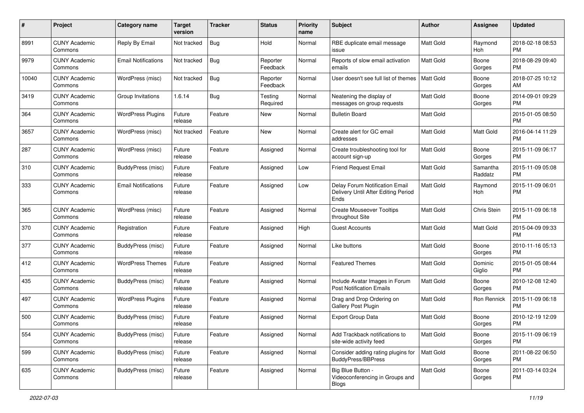| #     | Project                         | <b>Category name</b>       | <b>Target</b><br>version | <b>Tracker</b> | <b>Status</b>        | Priority<br>name | <b>Subject</b>                                                                | Author           | <b>Assignee</b>     | <b>Updated</b>                |
|-------|---------------------------------|----------------------------|--------------------------|----------------|----------------------|------------------|-------------------------------------------------------------------------------|------------------|---------------------|-------------------------------|
| 8991  | <b>CUNY Academic</b><br>Commons | Reply By Email             | Not tracked              | <b>Bug</b>     | Hold                 | Normal           | RBE duplicate email message<br>issue                                          | <b>Matt Gold</b> | Raymond<br>Hoh      | 2018-02-18 08:53<br><b>PM</b> |
| 9979  | <b>CUNY Academic</b><br>Commons | <b>Email Notifications</b> | Not tracked              | Bug            | Reporter<br>Feedback | Normal           | Reports of slow email activation<br>emails                                    | <b>Matt Gold</b> | Boone<br>Gorges     | 2018-08-29 09:40<br><b>PM</b> |
| 10040 | <b>CUNY Academic</b><br>Commons | WordPress (misc)           | Not tracked              | Bug            | Reporter<br>Feedback | Normal           | User doesn't see full list of themes                                          | <b>Matt Gold</b> | Boone<br>Gorges     | 2018-07-25 10:12<br>AM        |
| 3419  | <b>CUNY Academic</b><br>Commons | Group Invitations          | 1.6.14                   | Bug            | Testing<br>Required  | Normal           | Neatening the display of<br>messages on group requests                        | Matt Gold        | Boone<br>Gorges     | 2014-09-01 09:29<br><b>PM</b> |
| 364   | <b>CUNY Academic</b><br>Commons | <b>WordPress Plugins</b>   | Future<br>release        | Feature        | New                  | Normal           | <b>Bulletin Board</b>                                                         | <b>Matt Gold</b> |                     | 2015-01-05 08:50<br><b>PM</b> |
| 3657  | <b>CUNY Academic</b><br>Commons | WordPress (misc)           | Not tracked              | Feature        | New                  | Normal           | Create alert for GC email<br>addresses                                        | <b>Matt Gold</b> | Matt Gold           | 2016-04-14 11:29<br><b>PM</b> |
| 287   | <b>CUNY Academic</b><br>Commons | WordPress (misc)           | Future<br>release        | Feature        | Assigned             | Normal           | Create troubleshooting tool for<br>account sign-up                            | <b>Matt Gold</b> | Boone<br>Gorges     | 2015-11-09 06:17<br><b>PM</b> |
| 310   | <b>CUNY Academic</b><br>Commons | BuddyPress (misc)          | Future<br>release        | Feature        | Assigned             | Low              | Friend Request Email                                                          | <b>Matt Gold</b> | Samantha<br>Raddatz | 2015-11-09 05:08<br><b>PM</b> |
| 333   | <b>CUNY Academic</b><br>Commons | <b>Email Notifications</b> | Future<br>release        | Feature        | Assigned             | Low              | Delay Forum Notification Email<br>Delivery Until After Editing Period<br>Ends | <b>Matt Gold</b> | Raymond<br>Hoh      | 2015-11-09 06:01<br><b>PM</b> |
| 365   | <b>CUNY Academic</b><br>Commons | WordPress (misc)           | Future<br>release        | Feature        | Assigned             | Normal           | <b>Create Mouseover Tooltips</b><br>throughout Site                           | <b>Matt Gold</b> | Chris Stein         | 2015-11-09 06:18<br><b>PM</b> |
| 370   | <b>CUNY Academic</b><br>Commons | Registration               | Future<br>release        | Feature        | Assigned             | High             | <b>Guest Accounts</b>                                                         | <b>Matt Gold</b> | <b>Matt Gold</b>    | 2015-04-09 09:33<br><b>PM</b> |
| 377   | CUNY Academic<br>Commons        | BuddyPress (misc)          | Future<br>release        | Feature        | Assigned             | Normal           | Like buttons                                                                  | <b>Matt Gold</b> | Boone<br>Gorges     | 2010-11-16 05:13<br><b>PM</b> |
| 412   | <b>CUNY Academic</b><br>Commons | <b>WordPress Themes</b>    | Future<br>release        | Feature        | Assigned             | Normal           | <b>Featured Themes</b>                                                        | <b>Matt Gold</b> | Dominic<br>Giglio   | 2015-01-05 08:44<br><b>PM</b> |
| 435   | <b>CUNY Academic</b><br>Commons | <b>BuddyPress</b> (misc)   | Future<br>release        | Feature        | Assigned             | Normal           | Include Avatar Images in Forum<br><b>Post Notification Emails</b>             | <b>Matt Gold</b> | Boone<br>Gorges     | 2010-12-08 12:40<br><b>PM</b> |
| 497   | <b>CUNY Academic</b><br>Commons | <b>WordPress Plugins</b>   | Future<br>release        | Feature        | Assigned             | Normal           | Drag and Drop Ordering on<br>Gallery Post Plugin                              | Matt Gold        | Ron Rennick         | 2015-11-09 06:18<br><b>PM</b> |
| 500   | <b>CUNY Academic</b><br>Commons | BuddyPress (misc)          | Future<br>release        | Feature        | Assigned             | Normal           | <b>Export Group Data</b>                                                      | <b>Matt Gold</b> | Boone<br>Gorges     | 2010-12-19 12:09<br><b>PM</b> |
| 554   | <b>CUNY Academic</b><br>Commons | BuddyPress (misc)          | Future<br>release        | Feature        | Assigned             | Normal           | Add Trackback notifications to<br>site-wide activity feed                     | <b>Matt Gold</b> | Boone<br>Gorges     | 2015-11-09 06:19<br><b>PM</b> |
| 599   | <b>CUNY Academic</b><br>Commons | BuddyPress (misc)          | Future<br>release        | Feature        | Assigned             | Normal           | Consider adding rating plugins for<br><b>BuddyPress/BBPress</b>               | Matt Gold        | Boone<br>Gorges     | 2011-08-22 06:50<br><b>PM</b> |
| 635   | <b>CUNY Academic</b><br>Commons | BuddyPress (misc)          | Future<br>release        | Feature        | Assigned             | Normal           | Big Blue Button -<br>Videoconferencing in Groups and<br><b>Blogs</b>          | Matt Gold        | Boone<br>Gorges     | 2011-03-14 03:24<br>PM        |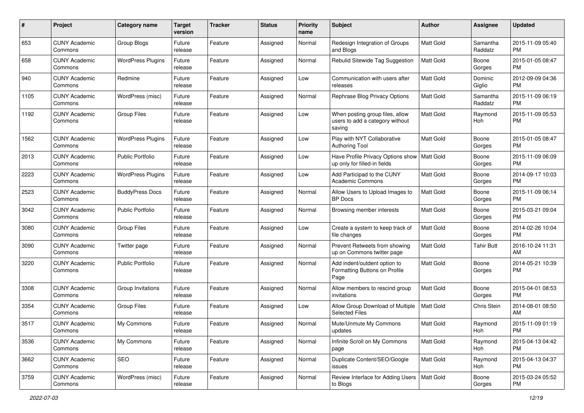| #    | Project                         | <b>Category name</b>     | <b>Target</b><br>version | <b>Tracker</b> | <b>Status</b> | <b>Priority</b><br>name | <b>Subject</b>                                                               | Author           | <b>Assignee</b>     | <b>Updated</b>                |
|------|---------------------------------|--------------------------|--------------------------|----------------|---------------|-------------------------|------------------------------------------------------------------------------|------------------|---------------------|-------------------------------|
| 653  | <b>CUNY Academic</b><br>Commons | Group Blogs              | Future<br>release        | Feature        | Assigned      | Normal                  | Redesign Integration of Groups<br>and Blogs                                  | Matt Gold        | Samantha<br>Raddatz | 2015-11-09 05:40<br>PM.       |
| 658  | <b>CUNY Academic</b><br>Commons | <b>WordPress Plugins</b> | Future<br>release        | Feature        | Assigned      | Normal                  | Rebulid Sitewide Tag Suggestion                                              | <b>Matt Gold</b> | Boone<br>Gorges     | 2015-01-05 08:47<br><b>PM</b> |
| 940  | <b>CUNY Academic</b><br>Commons | Redmine                  | Future<br>release        | Feature        | Assigned      | Low                     | Communication with users after<br>releases                                   | Matt Gold        | Dominic<br>Giglio   | 2012-09-09 04:36<br><b>PM</b> |
| 1105 | <b>CUNY Academic</b><br>Commons | WordPress (misc)         | Future<br>release        | Feature        | Assigned      | Normal                  | Rephrase Blog Privacy Options                                                | <b>Matt Gold</b> | Samantha<br>Raddatz | 2015-11-09 06:19<br><b>PM</b> |
| 1192 | <b>CUNY Academic</b><br>Commons | <b>Group Files</b>       | Future<br>release        | Feature        | Assigned      | Low                     | When posting group files, allow<br>users to add a category without<br>saving | <b>Matt Gold</b> | Raymond<br>Hoh      | 2015-11-09 05:53<br><b>PM</b> |
| 1562 | <b>CUNY Academic</b><br>Commons | <b>WordPress Plugins</b> | Future<br>release        | Feature        | Assigned      | Low                     | Play with NYT Collaborative<br><b>Authoring Tool</b>                         | <b>Matt Gold</b> | Boone<br>Gorges     | 2015-01-05 08:47<br><b>PM</b> |
| 2013 | <b>CUNY Academic</b><br>Commons | <b>Public Portfolio</b>  | Future<br>release        | Feature        | Assigned      | Low                     | Have Profile Privacy Options show<br>up only for filled-in fields            | Matt Gold        | Boone<br>Gorges     | 2015-11-09 06:09<br><b>PM</b> |
| 2223 | <b>CUNY Academic</b><br>Commons | <b>WordPress Plugins</b> | Future<br>release        | Feature        | Assigned      | Low                     | Add Participad to the CUNY<br><b>Academic Commons</b>                        | <b>Matt Gold</b> | Boone<br>Gorges     | 2014-09-17 10:03<br><b>PM</b> |
| 2523 | <b>CUNY Academic</b><br>Commons | <b>BuddyPress Docs</b>   | Future<br>release        | Feature        | Assigned      | Normal                  | Allow Users to Upload Images to<br><b>BP</b> Docs                            | <b>Matt Gold</b> | Boone<br>Gorges     | 2015-11-09 06:14<br>PM.       |
| 3042 | <b>CUNY Academic</b><br>Commons | Public Portfolio         | Future<br>release        | Feature        | Assigned      | Normal                  | Browsing member interests                                                    | <b>Matt Gold</b> | Boone<br>Gorges     | 2015-03-21 09:04<br><b>PM</b> |
| 3080 | <b>CUNY Academic</b><br>Commons | <b>Group Files</b>       | Future<br>release        | Feature        | Assigned      | Low                     | Create a system to keep track of<br>file changes                             | Matt Gold        | Boone<br>Gorges     | 2014-02-26 10:04<br><b>PM</b> |
| 3090 | <b>CUNY Academic</b><br>Commons | Twitter page             | Future<br>release        | Feature        | Assigned      | Normal                  | Prevent Retweets from showing<br>up on Commons twitter page                  | Matt Gold        | <b>Tahir Butt</b>   | 2016-10-24 11:31<br>AM        |
| 3220 | <b>CUNY Academic</b><br>Commons | <b>Public Portfolio</b>  | Future<br>release        | Feature        | Assigned      | Normal                  | Add indent/outdent option to<br>Formatting Buttons on Profile<br>Page        | <b>Matt Gold</b> | Boone<br>Gorges     | 2014-05-21 10:39<br><b>PM</b> |
| 3308 | <b>CUNY Academic</b><br>Commons | Group Invitations        | Future<br>release        | Feature        | Assigned      | Normal                  | Allow members to rescind group<br>invitations                                | Matt Gold        | Boone<br>Gorges     | 2015-04-01 08:53<br><b>PM</b> |
| 3354 | <b>CUNY Academic</b><br>Commons | <b>Group Files</b>       | Future<br>release        | Feature        | Assigned      | Low                     | Allow Group Download of Multiple<br><b>Selected Files</b>                    | Matt Gold        | Chris Stein         | 2014-08-01 08:50<br>AM        |
| 3517 | <b>CUNY Academic</b><br>Commons | My Commons               | Future<br>release        | Feature        | Assigned      | Normal                  | Mute/Unmute My Commons<br>updates                                            | <b>Matt Gold</b> | Raymond<br>Hoh      | 2015-11-09 01:19<br>PM        |
| 3536 | <b>CUNY Academic</b><br>Commons | My Commons               | Future<br>release        | Feature        | Assigned      | Normal                  | Infinite Scroll on My Commons<br>page                                        | Matt Gold        | Raymond<br>Hoh      | 2015-04-13 04:42<br><b>PM</b> |
| 3662 | <b>CUNY Academic</b><br>Commons | SEO                      | Future<br>release        | Feature        | Assigned      | Normal                  | Duplicate Content/SEO/Google<br>issues                                       | Matt Gold        | Raymond<br>Hoh      | 2015-04-13 04:37<br><b>PM</b> |
| 3759 | <b>CUNY Academic</b><br>Commons | WordPress (misc)         | Future<br>release        | Feature        | Assigned      | Normal                  | Review Interface for Adding Users<br>to Blogs                                | Matt Gold        | Boone<br>Gorges     | 2015-03-24 05:52<br><b>PM</b> |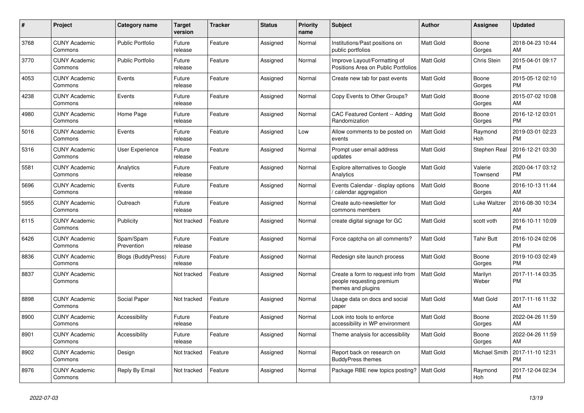| $\pmb{\#}$ | <b>Project</b>                  | <b>Category name</b>      | <b>Target</b><br>version | <b>Tracker</b> | <b>Status</b> | <b>Priority</b><br>name | <b>Subject</b>                                                                        | <b>Author</b>    | Assignee            | <b>Updated</b>                |
|------------|---------------------------------|---------------------------|--------------------------|----------------|---------------|-------------------------|---------------------------------------------------------------------------------------|------------------|---------------------|-------------------------------|
| 3768       | <b>CUNY Academic</b><br>Commons | <b>Public Portfolio</b>   | Future<br>release        | Feature        | Assigned      | Normal                  | Institutions/Past positions on<br>public portfolios                                   | <b>Matt Gold</b> | Boone<br>Gorges     | 2018-04-23 10:44<br>AM        |
| 3770       | <b>CUNY Academic</b><br>Commons | <b>Public Portfolio</b>   | Future<br>release        | Feature        | Assigned      | Normal                  | Improve Layout/Formatting of<br>Positions Area on Public Portfolios                   | Matt Gold        | <b>Chris Stein</b>  | 2015-04-01 09:17<br><b>PM</b> |
| 4053       | <b>CUNY Academic</b><br>Commons | Events                    | Future<br>release        | Feature        | Assigned      | Normal                  | Create new tab for past events                                                        | Matt Gold        | Boone<br>Gorges     | 2015-05-12 02:10<br><b>PM</b> |
| 4238       | <b>CUNY Academic</b><br>Commons | Events                    | Future<br>release        | Feature        | Assigned      | Normal                  | Copy Events to Other Groups?                                                          | <b>Matt Gold</b> | Boone<br>Gorges     | 2015-07-02 10:08<br>AM        |
| 4980       | <b>CUNY Academic</b><br>Commons | Home Page                 | Future<br>release        | Feature        | Assigned      | Normal                  | <b>CAC Featured Content -- Adding</b><br>Randomization                                | Matt Gold        | Boone<br>Gorges     | 2016-12-12 03:01<br><b>PM</b> |
| 5016       | <b>CUNY Academic</b><br>Commons | Events                    | Future<br>release        | Feature        | Assigned      | Low                     | Allow comments to be posted on<br>events                                              | Matt Gold        | Raymond<br>Hoh      | 2019-03-01 02:23<br><b>PM</b> |
| 5316       | <b>CUNY Academic</b><br>Commons | <b>User Experience</b>    | Future<br>release        | Feature        | Assigned      | Normal                  | Prompt user email address<br>updates                                                  | <b>Matt Gold</b> | Stephen Real        | 2016-12-21 03:30<br><b>PM</b> |
| 5581       | <b>CUNY Academic</b><br>Commons | Analytics                 | Future<br>release        | Feature        | Assigned      | Normal                  | Explore alternatives to Google<br>Analytics                                           | <b>Matt Gold</b> | Valerie<br>Townsend | 2020-04-17 03:12<br>PM        |
| 5696       | <b>CUNY Academic</b><br>Commons | Events                    | Future<br>release        | Feature        | Assigned      | Normal                  | Events Calendar - display options<br>calendar aggregation                             | Matt Gold        | Boone<br>Gorges     | 2016-10-13 11:44<br>AM        |
| 5955       | <b>CUNY Academic</b><br>Commons | Outreach                  | Future<br>release        | Feature        | Assigned      | Normal                  | Create auto-newsletter for<br>commons members                                         | Matt Gold        | Luke Waltzer        | 2016-08-30 10:34<br>AM        |
| 6115       | <b>CUNY Academic</b><br>Commons | Publicity                 | Not tracked              | Feature        | Assigned      | Normal                  | create digital signage for GC                                                         | Matt Gold        | scott voth          | 2016-10-11 10:09<br><b>PM</b> |
| 6426       | <b>CUNY Academic</b><br>Commons | Spam/Spam<br>Prevention   | Future<br>release        | Feature        | Assigned      | Normal                  | Force captcha on all comments?                                                        | <b>Matt Gold</b> | <b>Tahir Butt</b>   | 2016-10-24 02:06<br><b>PM</b> |
| 8836       | <b>CUNY Academic</b><br>Commons | <b>Blogs (BuddyPress)</b> | Future<br>release        | Feature        | Assigned      | Normal                  | Redesign site launch process                                                          | <b>Matt Gold</b> | Boone<br>Gorges     | 2019-10-03 02:49<br><b>PM</b> |
| 8837       | <b>CUNY Academic</b><br>Commons |                           | Not tracked              | Feature        | Assigned      | Normal                  | Create a form to request info from<br>people requesting premium<br>themes and plugins | <b>Matt Gold</b> | Marilyn<br>Weber    | 2017-11-14 03:35<br><b>PM</b> |
| 8898       | <b>CUNY Academic</b><br>Commons | Social Paper              | Not tracked              | Feature        | Assigned      | Normal                  | Usage data on docs and social<br>paper                                                | Matt Gold        | Matt Gold           | 2017-11-16 11:32<br>AM        |
| 8900       | <b>CUNY Academic</b><br>Commons | Accessibility             | Future<br>release        | Feature        | Assigned      | Normal                  | Look into tools to enforce<br>accessibility in WP environment                         | <b>Matt Gold</b> | Boone<br>Gorges     | 2022-04-26 11:59<br>AM        |
| 8901       | <b>CUNY Academic</b><br>Commons | Accessibility             | Future<br>release        | Feature        | Assigned      | Normal                  | Theme analysis for accessibility                                                      | Matt Gold        | Boone<br>Gorges     | 2022-04-26 11:59<br>AM        |
| 8902       | <b>CUNY Academic</b><br>Commons | Design                    | Not tracked              | Feature        | Assigned      | Normal                  | Report back on research on<br><b>BuddyPress themes</b>                                | Matt Gold        | Michael Smith       | 2017-11-10 12:31<br><b>PM</b> |
| 8976       | <b>CUNY Academic</b><br>Commons | Reply By Email            | Not tracked              | Feature        | Assigned      | Normal                  | Package RBE new topics posting?                                                       | Matt Gold        | Raymond<br>Hoh      | 2017-12-04 02:34<br><b>PM</b> |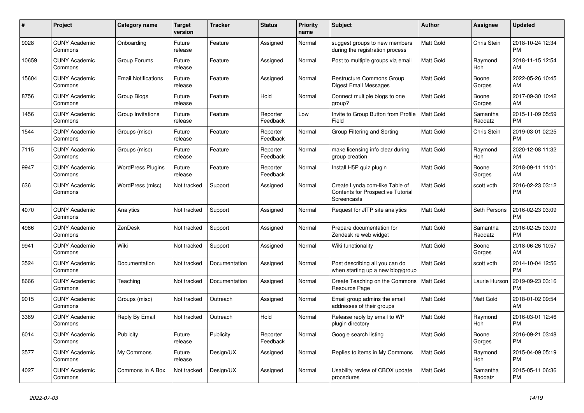| #     | <b>Project</b>                  | Category name              | <b>Target</b><br>version | <b>Tracker</b> | <b>Status</b>        | <b>Priority</b><br>name | <b>Subject</b>                                                                     | <b>Author</b>    | Assignee            | <b>Updated</b>                |
|-------|---------------------------------|----------------------------|--------------------------|----------------|----------------------|-------------------------|------------------------------------------------------------------------------------|------------------|---------------------|-------------------------------|
| 9028  | <b>CUNY Academic</b><br>Commons | Onboarding                 | Future<br>release        | Feature        | Assigned             | Normal                  | suggest groups to new members<br>during the registration process                   | <b>Matt Gold</b> | Chris Stein         | 2018-10-24 12:34<br><b>PM</b> |
| 10659 | <b>CUNY Academic</b><br>Commons | Group Forums               | Future<br>release        | Feature        | Assigned             | Normal                  | Post to multiple groups via email                                                  | <b>Matt Gold</b> | Raymond<br>Hoh      | 2018-11-15 12:54<br>AM        |
| 15604 | <b>CUNY Academic</b><br>Commons | <b>Email Notifications</b> | Future<br>release        | Feature        | Assigned             | Normal                  | <b>Restructure Commons Group</b><br>Digest Email Messages                          | <b>Matt Gold</b> | Boone<br>Gorges     | 2022-05-26 10:45<br>AM        |
| 8756  | <b>CUNY Academic</b><br>Commons | Group Blogs                | Future<br>release        | Feature        | Hold                 | Normal                  | Connect multiple blogs to one<br>group?                                            | <b>Matt Gold</b> | Boone<br>Gorges     | 2017-09-30 10:42<br>AM        |
| 1456  | <b>CUNY Academic</b><br>Commons | Group Invitations          | Future<br>release        | Feature        | Reporter<br>Feedback | Low                     | Invite to Group Button from Profile<br>Field                                       | <b>Matt Gold</b> | Samantha<br>Raddatz | 2015-11-09 05:59<br><b>PM</b> |
| 1544  | <b>CUNY Academic</b><br>Commons | Groups (misc)              | Future<br>release        | Feature        | Reporter<br>Feedback | Normal                  | Group Filtering and Sorting                                                        | <b>Matt Gold</b> | Chris Stein         | 2019-03-01 02:25<br><b>PM</b> |
| 7115  | <b>CUNY Academic</b><br>Commons | Groups (misc)              | Future<br>release        | Feature        | Reporter<br>Feedback | Normal                  | make licensing info clear during<br>group creation                                 | <b>Matt Gold</b> | Raymond<br>Hoh      | 2020-12-08 11:32<br>AM        |
| 9947  | <b>CUNY Academic</b><br>Commons | <b>WordPress Plugins</b>   | Future<br>release        | Feature        | Reporter<br>Feedback | Normal                  | Install H5P quiz plugin                                                            | <b>Matt Gold</b> | Boone<br>Gorges     | 2018-09-11 11:01<br>AM        |
| 636   | <b>CUNY Academic</b><br>Commons | WordPress (misc)           | Not tracked              | Support        | Assigned             | Normal                  | Create Lynda.com-like Table of<br>Contents for Prospective Tutorial<br>Screencasts | <b>Matt Gold</b> | scott voth          | 2016-02-23 03:12<br><b>PM</b> |
| 4070  | <b>CUNY Academic</b><br>Commons | Analytics                  | Not tracked              | Support        | Assigned             | Normal                  | Request for JITP site analytics                                                    | <b>Matt Gold</b> | Seth Persons        | 2016-02-23 03:09<br><b>PM</b> |
| 4986  | <b>CUNY Academic</b><br>Commons | ZenDesk                    | Not tracked              | Support        | Assigned             | Normal                  | Prepare documentation for<br>Zendesk re web widget                                 | <b>Matt Gold</b> | Samantha<br>Raddatz | 2016-02-25 03:09<br><b>PM</b> |
| 9941  | <b>CUNY Academic</b><br>Commons | Wiki                       | Not tracked              | Support        | Assigned             | Normal                  | Wiki functionality                                                                 | <b>Matt Gold</b> | Boone<br>Gorges     | 2018-06-26 10:57<br>AM        |
| 3524  | <b>CUNY Academic</b><br>Commons | Documentation              | Not tracked              | Documentation  | Assigned             | Normal                  | Post describing all you can do<br>when starting up a new blog/group                | <b>Matt Gold</b> | scott voth          | 2014-10-04 12:56<br><b>PM</b> |
| 8666  | <b>CUNY Academic</b><br>Commons | Teaching                   | Not tracked              | Documentation  | Assigned             | Normal                  | Create Teaching on the Commons<br>Resource Page                                    | Matt Gold        | Laurie Hurson       | 2019-09-23 03:16<br><b>PM</b> |
| 9015  | <b>CUNY Academic</b><br>Commons | Groups (misc)              | Not tracked              | Outreach       | Assigned             | Normal                  | Email group admins the email<br>addresses of their groups                          | <b>Matt Gold</b> | Matt Gold           | 2018-01-02 09:54<br>AM        |
| 3369  | <b>CUNY Academic</b><br>Commons | Reply By Email             | Not tracked              | Outreach       | Hold                 | Normal                  | Release reply by email to WP<br>plugin directory                                   | <b>Matt Gold</b> | Raymond<br>Hoh      | 2016-03-01 12:46<br><b>PM</b> |
| 6014  | <b>CUNY Academic</b><br>Commons | Publicity                  | Future<br>release        | Publicity      | Reporter<br>Feedback | Normal                  | Google search listing                                                              | <b>Matt Gold</b> | Boone<br>Gorges     | 2016-09-21 03:48<br><b>PM</b> |
| 3577  | <b>CUNY Academic</b><br>Commons | My Commons                 | Future<br>release        | Design/UX      | Assigned             | Normal                  | Replies to items in My Commons                                                     | <b>Matt Gold</b> | Raymond<br>Hoh      | 2015-04-09 05:19<br><b>PM</b> |
| 4027  | <b>CUNY Academic</b><br>Commons | Commons In A Box           | Not tracked              | Design/UX      | Assigned             | Normal                  | Usability review of CBOX update<br>procedures                                      | <b>Matt Gold</b> | Samantha<br>Raddatz | 2015-05-11 06:36<br><b>PM</b> |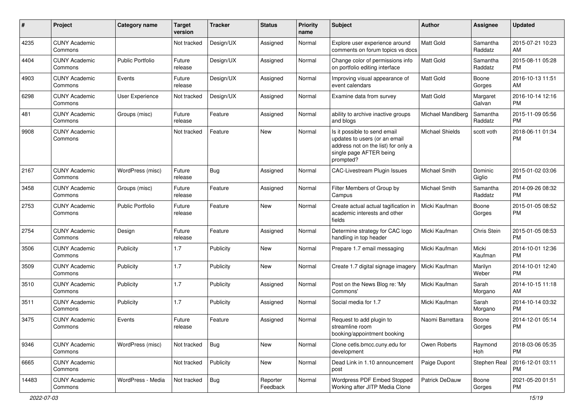| #     | Project                         | Category name           | <b>Target</b><br>version | Tracker    | <b>Status</b>        | <b>Priority</b><br>name | <b>Subject</b>                                                                                                                               | Author                 | Assignee            | <b>Updated</b>                |
|-------|---------------------------------|-------------------------|--------------------------|------------|----------------------|-------------------------|----------------------------------------------------------------------------------------------------------------------------------------------|------------------------|---------------------|-------------------------------|
| 4235  | <b>CUNY Academic</b><br>Commons |                         | Not tracked              | Design/UX  | Assigned             | Normal                  | Explore user experience around<br>comments on forum topics vs docs                                                                           | <b>Matt Gold</b>       | Samantha<br>Raddatz | 2015-07-21 10:23<br>AM        |
| 4404  | <b>CUNY Academic</b><br>Commons | <b>Public Portfolio</b> | Future<br>release        | Design/UX  | Assigned             | Normal                  | Change color of permissions info<br>on portfolio editing interface                                                                           | Matt Gold              | Samantha<br>Raddatz | 2015-08-11 05:28<br><b>PM</b> |
| 4903  | <b>CUNY Academic</b><br>Commons | Events                  | Future<br>release        | Design/UX  | Assigned             | Normal                  | Improving visual appearance of<br>event calendars                                                                                            | <b>Matt Gold</b>       | Boone<br>Gorges     | 2016-10-13 11:51<br>AM        |
| 6298  | <b>CUNY Academic</b><br>Commons | <b>User Experience</b>  | Not tracked              | Design/UX  | Assigned             | Normal                  | Examine data from survey                                                                                                                     | <b>Matt Gold</b>       | Margaret<br>Galvan  | 2016-10-14 12:16<br><b>PM</b> |
| 481   | <b>CUNY Academic</b><br>Commons | Groups (misc)           | Future<br>release        | Feature    | Assigned             | Normal                  | ability to archive inactive groups<br>and blogs                                                                                              | Michael Mandiberg      | Samantha<br>Raddatz | 2015-11-09 05:56<br><b>PM</b> |
| 9908  | <b>CUNY Academic</b><br>Commons |                         | Not tracked              | Feature    | New                  | Normal                  | Is it possible to send email<br>updates to users (or an email<br>address not on the list) for only a<br>single page AFTER being<br>prompted? | <b>Michael Shields</b> | scott voth          | 2018-06-11 01:34<br><b>PM</b> |
| 2167  | <b>CUNY Academic</b><br>Commons | WordPress (misc)        | Future<br>release        | Bug        | Assigned             | Normal                  | <b>CAC-Livestream Plugin Issues</b>                                                                                                          | Michael Smith          | Dominic<br>Giglio   | 2015-01-02 03:06<br><b>PM</b> |
| 3458  | <b>CUNY Academic</b><br>Commons | Groups (misc)           | Future<br>release        | Feature    | Assigned             | Normal                  | Filter Members of Group by<br>Campus                                                                                                         | Michael Smith          | Samantha<br>Raddatz | 2014-09-26 08:32<br><b>PM</b> |
| 2753  | <b>CUNY Academic</b><br>Commons | <b>Public Portfolio</b> | Future<br>release        | Feature    | New                  | Normal                  | Create actual actual tagification in<br>academic interests and other<br>fields                                                               | Micki Kaufman          | Boone<br>Gorges     | 2015-01-05 08:52<br><b>PM</b> |
| 2754  | <b>CUNY Academic</b><br>Commons | Design                  | Future<br>release        | Feature    | Assigned             | Normal                  | Determine strategy for CAC logo<br>handling in top header                                                                                    | Micki Kaufman          | Chris Stein         | 2015-01-05 08:53<br><b>PM</b> |
| 3506  | <b>CUNY Academic</b><br>Commons | Publicity               | 1.7                      | Publicity  | New                  | Normal                  | Prepare 1.7 email messaging                                                                                                                  | Micki Kaufman          | Micki<br>Kaufman    | 2014-10-01 12:36<br><b>PM</b> |
| 3509  | <b>CUNY Academic</b><br>Commons | Publicity               | 1.7                      | Publicity  | New                  | Normal                  | Create 1.7 digital signage imagery                                                                                                           | Micki Kaufman          | Marilyn<br>Weber    | 2014-10-01 12:40<br><b>PM</b> |
| 3510  | <b>CUNY Academic</b><br>Commons | Publicity               | 1.7                      | Publicity  | Assigned             | Normal                  | Post on the News Blog re: 'My<br>Commons'                                                                                                    | Micki Kaufman          | Sarah<br>Morgano    | 2014-10-15 11:18<br>AM        |
| 3511  | <b>CUNY Academic</b><br>Commons | Publicity               | 1.7                      | Publicity  | Assigned             | Normal                  | Social media for 1.7                                                                                                                         | Micki Kaufman          | Sarah<br>Morgano    | 2014-10-14 03:32<br><b>PM</b> |
| 3475  | <b>CUNY Academic</b><br>Commons | Events                  | Future<br>release        | Feature    | Assigned             | Normal                  | Request to add plugin to<br>streamline room<br>booking/appointment booking                                                                   | Naomi Barrettara       | Boone<br>Gorges     | 2014-12-01 05:14<br><b>PM</b> |
| 9346  | <b>CUNY Academic</b><br>Commons | WordPress (misc)        | Not tracked              | Bug        | New                  | Normal                  | Clone cetls.bmcc.cuny.edu for<br>development                                                                                                 | Owen Roberts           | Raymond<br>Hoh      | 2018-03-06 05:35<br><b>PM</b> |
| 6665  | <b>CUNY Academic</b><br>Commons |                         | Not tracked              | Publicity  | New                  | Normal                  | Dead Link in 1.10 announcement<br>post                                                                                                       | Paige Dupont           | Stephen Real        | 2016-12-01 03:11<br><b>PM</b> |
| 14483 | <b>CUNY Academic</b><br>Commons | WordPress - Media       | Not tracked              | <b>Bug</b> | Reporter<br>Feedback | Normal                  | Wordpress PDF Embed Stopped<br>Working after JITP Media Clone                                                                                | Patrick DeDauw         | Boone<br>Gorges     | 2021-05-20 01:51<br>PM        |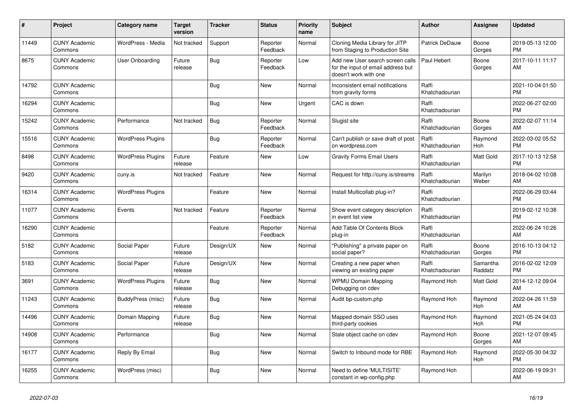| #     | Project                         | Category name            | <b>Target</b><br>version | <b>Tracker</b> | <b>Status</b>        | <b>Priority</b><br>name | <b>Subject</b>                                                                                  | <b>Author</b>           | Assignee            | <b>Updated</b>                |
|-------|---------------------------------|--------------------------|--------------------------|----------------|----------------------|-------------------------|-------------------------------------------------------------------------------------------------|-------------------------|---------------------|-------------------------------|
| 11449 | <b>CUNY Academic</b><br>Commons | WordPress - Media        | Not tracked              | Support        | Reporter<br>Feedback | Normal                  | Cloning Media Library for JITP<br>from Staging to Production Site                               | Patrick DeDauw          | Boone<br>Gorges     | 2019-05-13 12:00<br><b>PM</b> |
| 8675  | <b>CUNY Academic</b><br>Commons | User Onboarding          | Future<br>release        | Bug            | Reporter<br>Feedback | Low                     | Add new User search screen calls<br>for the input of email address but<br>doesn't work with one | Paul Hebert             | Boone<br>Gorges     | 2017-10-11 11:17<br>AM        |
| 14792 | <b>CUNY Academic</b><br>Commons |                          |                          | Bug            | <b>New</b>           | Normal                  | Inconsistent email notifications<br>from gravity forms                                          | Raffi<br>Khatchadourian |                     | 2021-10-04 01:50<br><b>PM</b> |
| 16294 | <b>CUNY Academic</b><br>Commons |                          |                          | <b>Bug</b>     | New                  | Urgent                  | CAC is down                                                                                     | Raffi<br>Khatchadourian |                     | 2022-06-27 02:00<br><b>PM</b> |
| 15242 | <b>CUNY Academic</b><br>Commons | Performance              | Not tracked              | Bug            | Reporter<br>Feedback | Normal                  | Slugist site                                                                                    | Raffi<br>Khatchadourian | Boone<br>Gorges     | 2022-02-07 11:14<br>AM        |
| 15516 | <b>CUNY Academic</b><br>Commons | <b>WordPress Plugins</b> |                          | Bug            | Reporter<br>Feedback | Normal                  | Can't publish or save draft of post<br>on wordpress.com                                         | Raffi<br>Khatchadourian | Raymond<br>Hoh      | 2022-03-02 05:52<br><b>PM</b> |
| 8498  | <b>CUNY Academic</b><br>Commons | <b>WordPress Plugins</b> | Future<br>release        | Feature        | <b>New</b>           | Low                     | <b>Gravity Forms Email Users</b>                                                                | Raffi<br>Khatchadourian | Matt Gold           | 2017-10-13 12:58<br><b>PM</b> |
| 9420  | <b>CUNY Academic</b><br>Commons | cuny.is                  | Not tracked              | Feature        | <b>New</b>           | Normal                  | Request for http://cuny.is/streams                                                              | Raffi<br>Khatchadourian | Marilyn<br>Weber    | 2018-04-02 10:08<br>AM        |
| 16314 | <b>CUNY Academic</b><br>Commons | <b>WordPress Plugins</b> |                          | Feature        | <b>New</b>           | Normal                  | Install Multicollab plug-in?                                                                    | Raffi<br>Khatchadourian |                     | 2022-06-29 03:44<br><b>PM</b> |
| 11077 | <b>CUNY Academic</b><br>Commons | Events                   | Not tracked              | Feature        | Reporter<br>Feedback | Normal                  | Show event category description<br>in event list view                                           | Raffi<br>Khatchadourian |                     | 2019-02-12 10:38<br><b>PM</b> |
| 16290 | <b>CUNY Academic</b><br>Commons |                          |                          | Feature        | Reporter<br>Feedback | Normal                  | Add Table Of Contents Block<br>plug-in                                                          | Raffi<br>Khatchadourian |                     | 2022-06-24 10:26<br>AM        |
| 5182  | <b>CUNY Academic</b><br>Commons | Social Paper             | Future<br>release        | Design/UX      | New                  | Normal                  | "Publishing" a private paper on<br>social paper?                                                | Raffi<br>Khatchadourian | Boone<br>Gorges     | 2016-10-13 04:12<br><b>PM</b> |
| 5183  | <b>CUNY Academic</b><br>Commons | Social Paper             | Future<br>release        | Design/UX      | <b>New</b>           | Normal                  | Creating a new paper when<br>viewing an existing paper                                          | Raffi<br>Khatchadourian | Samantha<br>Raddatz | 2016-02-02 12:09<br><b>PM</b> |
| 3691  | <b>CUNY Academic</b><br>Commons | <b>WordPress Plugins</b> | Future<br>release        | Bug            | <b>New</b>           | Normal                  | <b>WPMU Domain Mapping</b><br>Debugging on cdev                                                 | Raymond Hoh             | Matt Gold           | 2014-12-12 09:04<br>AM        |
| 11243 | <b>CUNY Academic</b><br>Commons | BuddyPress (misc)        | Future<br>release        | Bug            | <b>New</b>           | Normal                  | Audit bp-custom.php                                                                             | Raymond Hoh             | Raymond<br>Hoh      | 2022-04-26 11:59<br>AM        |
| 14496 | <b>CUNY Academic</b><br>Commons | Domain Mapping           | Future<br>release        | Bug            | <b>New</b>           | Normal                  | Mapped domain SSO uses<br>third-party cookies                                                   | Raymond Hoh             | Raymond<br>Hoh      | 2021-05-24 04:03<br><b>PM</b> |
| 14908 | <b>CUNY Academic</b><br>Commons | Performance              |                          | Bug            | <b>New</b>           | Normal                  | Stale object cache on cdev                                                                      | Raymond Hoh             | Boone<br>Gorges     | 2021-12-07 09:45<br>AM        |
| 16177 | <b>CUNY Academic</b><br>Commons | Reply By Email           |                          | <b>Bug</b>     | New                  | Normal                  | Switch to Inbound mode for RBE                                                                  | Raymond Hoh             | Raymond<br>Hoh      | 2022-05-30 04:32<br><b>PM</b> |
| 16255 | <b>CUNY Academic</b><br>Commons | WordPress (misc)         |                          | Bug            | <b>New</b>           | Normal                  | Need to define 'MULTISITE'<br>constant in wp-config.php                                         | Raymond Hoh             |                     | 2022-06-19 09:31<br>AM        |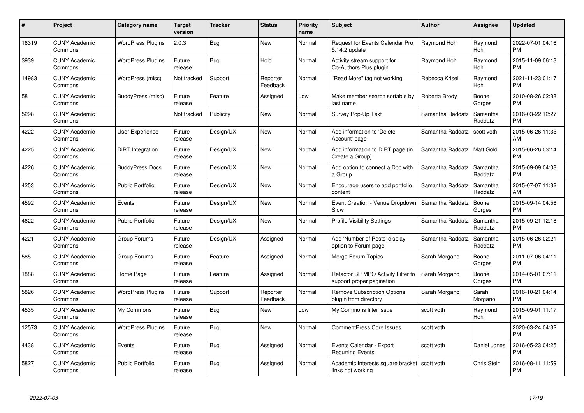| $\#$  | Project                         | <b>Category name</b>     | <b>Target</b><br>version | <b>Tracker</b> | <b>Status</b>        | Priority<br>name | <b>Subject</b>                                                  | <b>Author</b>    | <b>Assignee</b>     | <b>Updated</b>                |
|-------|---------------------------------|--------------------------|--------------------------|----------------|----------------------|------------------|-----------------------------------------------------------------|------------------|---------------------|-------------------------------|
| 16319 | <b>CUNY Academic</b><br>Commons | <b>WordPress Plugins</b> | 2.0.3                    | Bug            | <b>New</b>           | Normal           | Request for Events Calendar Pro<br>5.14.2 update                | Raymond Hoh      | Raymond<br>Hoh      | 2022-07-01 04:16<br><b>PM</b> |
| 3939  | <b>CUNY Academic</b><br>Commons | <b>WordPress Plugins</b> | Future<br>release        | Bug            | Hold                 | Normal           | Activity stream support for<br>Co-Authors Plus plugin           | Raymond Hoh      | Raymond<br>Hoh      | 2015-11-09 06:13<br><b>PM</b> |
| 14983 | <b>CUNY Academic</b><br>Commons | WordPress (misc)         | Not tracked              | Support        | Reporter<br>Feedback | Normal           | "Read More" tag not working                                     | Rebecca Krisel   | Raymond<br>Hoh      | 2021-11-23 01:17<br><b>PM</b> |
| 58    | <b>CUNY Academic</b><br>Commons | BuddyPress (misc)        | Future<br>release        | Feature        | Assigned             | Low              | Make member search sortable by<br>last name                     | Roberta Brody    | Boone<br>Gorges     | 2010-08-26 02:38<br><b>PM</b> |
| 5298  | <b>CUNY Academic</b><br>Commons |                          | Not tracked              | Publicity      | <b>New</b>           | Normal           | Survey Pop-Up Text                                              | Samantha Raddatz | Samantha<br>Raddatz | 2016-03-22 12:27<br><b>PM</b> |
| 4222  | <b>CUNY Academic</b><br>Commons | User Experience          | Future<br>release        | Design/UX      | New                  | Normal           | Add information to 'Delete<br>Account' page                     | Samantha Raddatz | scott voth          | 2015-06-26 11:35<br>AM        |
| 4225  | <b>CUNY Academic</b><br>Commons | DiRT Integration         | Future<br>release        | Design/UX      | <b>New</b>           | Normal           | Add information to DIRT page (in<br>Create a Group)             | Samantha Raddatz | Matt Gold           | 2015-06-26 03:14<br><b>PM</b> |
| 4226  | <b>CUNY Academic</b><br>Commons | <b>BuddyPress Docs</b>   | Future<br>release        | Design/UX      | <b>New</b>           | Normal           | Add option to connect a Doc with<br>a Group                     | Samantha Raddatz | Samantha<br>Raddatz | 2015-09-09 04:08<br><b>PM</b> |
| 4253  | <b>CUNY Academic</b><br>Commons | <b>Public Portfolio</b>  | Future<br>release        | Design/UX      | <b>New</b>           | Normal           | Encourage users to add portfolio<br>content                     | Samantha Raddatz | Samantha<br>Raddatz | 2015-07-07 11:32<br>AM        |
| 4592  | <b>CUNY Academic</b><br>Commons | Events                   | Future<br>release        | Design/UX      | <b>New</b>           | Normal           | Event Creation - Venue Dropdown<br>Slow                         | Samantha Raddatz | Boone<br>Gorges     | 2015-09-14 04:56<br><b>PM</b> |
| 4622  | <b>CUNY Academic</b><br>Commons | <b>Public Portfolio</b>  | Future<br>release        | Design/UX      | <b>New</b>           | Normal           | <b>Profile Visibility Settings</b>                              | Samantha Raddatz | Samantha<br>Raddatz | 2015-09-21 12:18<br><b>PM</b> |
| 4221  | <b>CUNY Academic</b><br>Commons | Group Forums             | Future<br>release        | Design/UX      | Assigned             | Normal           | Add 'Number of Posts' display<br>option to Forum page           | Samantha Raddatz | Samantha<br>Raddatz | 2015-06-26 02:21<br><b>PM</b> |
| 585   | <b>CUNY Academic</b><br>Commons | Group Forums             | Future<br>release        | Feature        | Assigned             | Normal           | Merge Forum Topics                                              | Sarah Morgano    | Boone<br>Gorges     | 2011-07-06 04:11<br><b>PM</b> |
| 1888  | <b>CUNY Academic</b><br>Commons | Home Page                | Future<br>release        | Feature        | Assigned             | Normal           | Refactor BP MPO Activity Filter to<br>support proper pagination | Sarah Morgano    | Boone<br>Gorges     | 2014-05-01 07:11<br><b>PM</b> |
| 5826  | <b>CUNY Academic</b><br>Commons | <b>WordPress Plugins</b> | Future<br>release        | Support        | Reporter<br>Feedback | Normal           | <b>Remove Subscription Options</b><br>plugin from directory     | Sarah Morgano    | Sarah<br>Morgano    | 2016-10-21 04:14<br><b>PM</b> |
| 4535  | <b>CUNY Academic</b><br>Commons | My Commons               | Future<br>release        | Bug            | New                  | Low              | My Commons filter issue                                         | scott voth       | Raymond<br>Hoh      | 2015-09-01 11:17<br>AM        |
| 12573 | <b>CUNY Academic</b><br>Commons | <b>WordPress Plugins</b> | Future<br>release        | Bug            | New                  | Normal           | <b>CommentPress Core Issues</b>                                 | scott voth       |                     | 2020-03-24 04:32<br><b>PM</b> |
| 4438  | <b>CUNY Academic</b><br>Commons | Events                   | Future<br>release        | Bug            | Assigned             | Normal           | Events Calendar - Export<br><b>Recurring Events</b>             | scott voth       | Daniel Jones        | 2016-05-23 04:25<br><b>PM</b> |
| 5827  | <b>CUNY Academic</b><br>Commons | <b>Public Portfolio</b>  | Future<br>release        | <b>Bug</b>     | Assigned             | Normal           | Academic Interests square bracket<br>links not working          | scott voth       | <b>Chris Stein</b>  | 2016-08-11 11:59<br><b>PM</b> |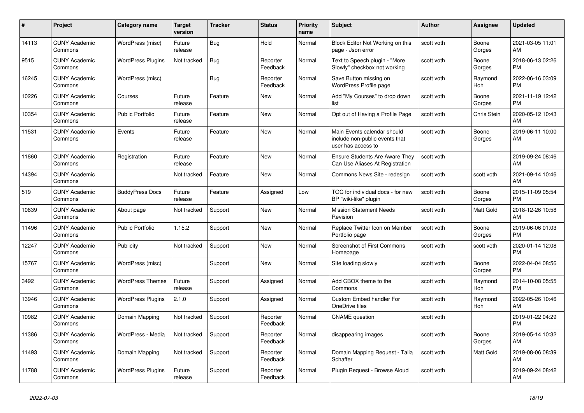| $\#$  | Project                         | <b>Category name</b>     | <b>Target</b><br>version | <b>Tracker</b> | <b>Status</b>        | <b>Priority</b><br>name | <b>Subject</b>                                                                      | <b>Author</b> | <b>Assignee</b> | <b>Updated</b>                |
|-------|---------------------------------|--------------------------|--------------------------|----------------|----------------------|-------------------------|-------------------------------------------------------------------------------------|---------------|-----------------|-------------------------------|
| 14113 | <b>CUNY Academic</b><br>Commons | WordPress (misc)         | Future<br>release        | <b>Bug</b>     | Hold                 | Normal                  | Block Editor Not Working on this<br>page - Json error                               | scott voth    | Boone<br>Gorges | 2021-03-05 11:01<br>AM        |
| 9515  | <b>CUNY Academic</b><br>Commons | <b>WordPress Plugins</b> | Not tracked              | Bug            | Reporter<br>Feedback | Normal                  | Text to Speech plugin - "More<br>Slowly" checkbox not working                       | scott voth    | Boone<br>Gorges | 2018-06-13 02:26<br><b>PM</b> |
| 16245 | <b>CUNY Academic</b><br>Commons | WordPress (misc)         |                          | Bug            | Reporter<br>Feedback | Normal                  | Save Button missing on<br>WordPress Profile page                                    | scott voth    | Raymond<br>Hoh  | 2022-06-16 03:09<br><b>PM</b> |
| 10226 | <b>CUNY Academic</b><br>Commons | Courses                  | Future<br>release        | Feature        | <b>New</b>           | Normal                  | Add "My Courses" to drop down<br>list                                               | scott voth    | Boone<br>Gorges | 2021-11-19 12:42<br><b>PM</b> |
| 10354 | <b>CUNY Academic</b><br>Commons | <b>Public Portfolio</b>  | Future<br>release        | Feature        | New                  | Normal                  | Opt out of Having a Profile Page                                                    | scott voth    | Chris Stein     | 2020-05-12 10:43<br>AM        |
| 11531 | <b>CUNY Academic</b><br>Commons | Events                   | Future<br>release        | Feature        | <b>New</b>           | Normal                  | Main Events calendar should<br>include non-public events that<br>user has access to | scott voth    | Boone<br>Gorges | 2019-06-11 10:00<br>AM        |
| 11860 | <b>CUNY Academic</b><br>Commons | Registration             | Future<br>release        | Feature        | <b>New</b>           | Normal                  | <b>Ensure Students Are Aware They</b><br>Can Use Aliases At Registration            | scott voth    |                 | 2019-09-24 08:46<br>AM        |
| 14394 | <b>CUNY Academic</b><br>Commons |                          | Not tracked              | Feature        | <b>New</b>           | Normal                  | Commons News Site - redesign                                                        | scott voth    | scott voth      | 2021-09-14 10:46<br>AM        |
| 519   | <b>CUNY Academic</b><br>Commons | <b>BuddyPress Docs</b>   | Future<br>release        | Feature        | Assigned             | Low                     | TOC for individual docs - for new<br>BP "wiki-like" plugin                          | scott voth    | Boone<br>Gorges | 2015-11-09 05:54<br><b>PM</b> |
| 10839 | <b>CUNY Academic</b><br>Commons | About page               | Not tracked              | Support        | New                  | Normal                  | <b>Mission Statement Needs</b><br>Revision                                          | scott voth    | Matt Gold       | 2018-12-26 10:58<br>AM        |
| 11496 | <b>CUNY Academic</b><br>Commons | <b>Public Portfolio</b>  | 1.15.2                   | Support        | <b>New</b>           | Normal                  | Replace Twitter Icon on Member<br>Portfolio page                                    | scott voth    | Boone<br>Gorges | 2019-06-06 01:03<br><b>PM</b> |
| 12247 | <b>CUNY Academic</b><br>Commons | Publicity                | Not tracked              | Support        | <b>New</b>           | Normal                  | Screenshot of First Commons<br>Homepage                                             | scott voth    | scott voth      | 2020-01-14 12:08<br><b>PM</b> |
| 15767 | <b>CUNY Academic</b><br>Commons | WordPress (misc)         |                          | Support        | <b>New</b>           | Normal                  | Site loading slowly                                                                 | scott voth    | Boone<br>Gorges | 2022-04-04 08:56<br><b>PM</b> |
| 3492  | <b>CUNY Academic</b><br>Commons | <b>WordPress Themes</b>  | Future<br>release        | Support        | Assigned             | Normal                  | Add CBOX theme to the<br>Commons                                                    | scott voth    | Raymond<br>Hoh  | 2014-10-08 05:55<br><b>PM</b> |
| 13946 | <b>CUNY Academic</b><br>Commons | <b>WordPress Plugins</b> | 2.1.0                    | Support        | Assigned             | Normal                  | Custom Embed handler For<br>OneDrive files                                          | scott voth    | Raymond<br>Hoh  | 2022-05-26 10:46<br>AM        |
| 10982 | <b>CUNY Academic</b><br>Commons | Domain Mapping           | Not tracked              | Support        | Reporter<br>Feedback | Normal                  | <b>CNAME</b> question                                                               | scott voth    |                 | 2019-01-22 04:29<br><b>PM</b> |
| 11386 | <b>CUNY Academic</b><br>Commons | WordPress - Media        | Not tracked              | Support        | Reporter<br>Feedback | Normal                  | disappearing images                                                                 | scott voth    | Boone<br>Gorges | 2019-05-14 10:32<br>AM        |
| 11493 | <b>CUNY Academic</b><br>Commons | Domain Mapping           | Not tracked              | Support        | Reporter<br>Feedback | Normal                  | Domain Mapping Request - Talia<br>Schaffer                                          | scott voth    | Matt Gold       | 2019-08-06 08:39<br>AM        |
| 11788 | <b>CUNY Academic</b><br>Commons | <b>WordPress Plugins</b> | Future<br>release        | Support        | Reporter<br>Feedback | Normal                  | Plugin Request - Browse Aloud                                                       | scott voth    |                 | 2019-09-24 08:42<br>AM        |